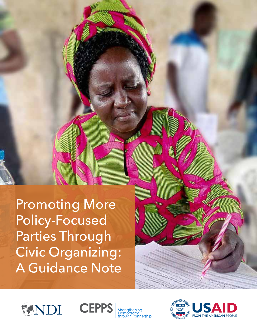Promoting More Policy-Focused Parties Through Civic Organizing: A Guidance Note



oman





**MILLIAN**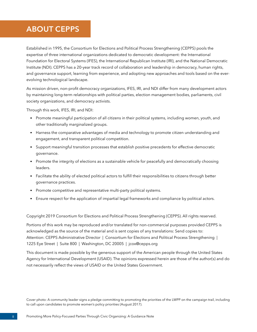# **ABOUT CEPPS**

Established in 1995, the Consortium for Elections and Political Process Strengthening (CEPPS) pools the expertise of three international organizations dedicated to democratic development: the International Foundation for Electoral Systems (IFES), the International Republican Institute (IRI), and the National Democratic Institute (NDI). CEPPS has a 20-year track record of collaboration and leadership in democracy, human rights, and governance support, learning from experience, and adopting new approaches and tools based on the everevolving technological landscape.

As mission driven, non-profit democracy organizations, IFES, IRI, and NDI differ from many development actors by maintaining long-term relationships with political parties, election management bodies, parliaments, civil society organizations, and democracy activists.

Through this work, IFES, IRI, and NDI:

- Promote meaningful participation of all citizens in their political systems, including women, youth, and other traditionally marginalized groups.
- Harness the comparative advantages of media and technology to promote citizen understanding and engagement, and transparent political competition.
- Support meaningful transition processes that establish positive precedents for effective democratic governance.
- Promote the integrity of elections as a sustainable vehicle for peacefully and democratically choosing leaders.
- Facilitate the ability of elected political actors to fulfill their responsibilities to citizens through better governance practices.
- Promote competitive and representative multi-party political systems.
- Ensure respect for the application of impartial legal frameworks and compliance by political actors.

Copyright 2019 Consortium for Elections and Political Process Strengthening (CEPPS). All rights reserved.

Portions of this work may be reproduced and/or translated for non-commercial purposes provided CEPPS is acknowledged as the source of the material and is sent copies of any translations: Send copies to: Attention: CEPPS Administrative Director | Consortium for Elections and Political Process Strengthening | 1225 Eye Street | Suite 800 | Washington, DC 20005 | jcox@cepps.org

This document is made possible by the generous support of the American people through the United States Agency for International Development (USAID). The opinions expressed herein are those of the author(s) and do not necessarily reflect the views of USAID or the United States Government.

Cover photo: A community leader signs a pledge committing to promoting the priorities of the LWPP on the campaign trail, including to call upon candidates to promote women's policy priorities (August 2017).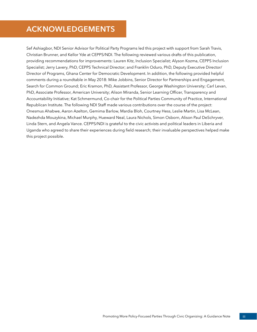# **ACKNOWLEDGEMENTS**

Sef Ashiagbor, NDI Senior Advisor for Political Party Programs led this project with support from Sarah Travis, Christian Brunner, and Kellor Yde at CEPPS/NDI. The following reviewed various drafts of this publication, providing recommendations for improvements: Lauren Kitz, Inclusion Specialist; Alyson Kozma, CEPPS Inclusion Specialist; Jerry Lavery, PhD, CEPPS Technical Director; and Franklin Oduro, PhD, Deputy Executive Director/ Director of Programs, Ghana Center for Democratic Development. In addition, the following provided helpful comments during a roundtable in May 2018: Mike Jobbins, Senior Director for Partnerships and Engagement, Search for Common Ground; Eric Kramon, PhD, Assistant Professor, George Washington University; Carl Levan, PhD, Associate Professor, American University; Alison Miranda, Senior Learning Officer, Transparency and Accountability Initiative; Kat Schmermund, Co-chair for the Political Parties Community of Practice, International Republican Institute. The following NDI Staff made various contributions over the course of the project: Onesmus Ahabwe, Aaron Azelton, Gemima Barlow, Mardia Bloh, Courtney Hess, Leslie Martin, Lisa McLean, Nadezhda Mouzykina, Michael Murphy, Hueward Neal, Laura Nichols, Simon Osborn, Alison Paul DeSchryver, Linda Stern, and Angela Vance. CEPPS/NDI is grateful to the civic activists and political leaders in Liberia and Uganda who agreed to share their experiences during field research; their invaluable perspectives helped make this project possible.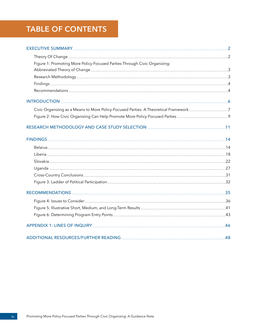# **TABLE OF CONTENTS**

| Figure 1: Promoting More Policy-Focused Parties Through Civic Organizing:            |  |
|--------------------------------------------------------------------------------------|--|
|                                                                                      |  |
|                                                                                      |  |
|                                                                                      |  |
|                                                                                      |  |
|                                                                                      |  |
| Civic Organizing as a Means to More Policy-Focused Parties: A Theoretical Framework7 |  |
|                                                                                      |  |
|                                                                                      |  |
|                                                                                      |  |
|                                                                                      |  |
|                                                                                      |  |
|                                                                                      |  |
|                                                                                      |  |
|                                                                                      |  |
|                                                                                      |  |
|                                                                                      |  |
|                                                                                      |  |
|                                                                                      |  |
|                                                                                      |  |
|                                                                                      |  |
|                                                                                      |  |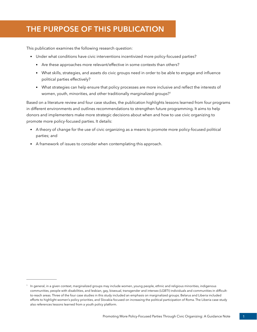# **THE PURPOSE OF THIS PUBLICATION**

This publication examines the following research question:

- Under what conditions have civic interventions incentivized more policy-focused parties?
	- Are these approaches more relevant/effective in some contexts than others?
	- What skills, strategies, and assets do civic groups need in order to be able to engage and influence political parties effectively?
	- What strategies can help ensure that policy processes are more inclusive and reflect the interests of women, youth, minorities, and other traditionally marginalized groups?<sup>1</sup>

Based on a literature review and four case studies, the publication highlights lessons learned from four programs in different environments and outlines recommendations to strengthen future programming. It aims to help donors and implementers make more strategic decisions about when and how to use civic organizing to promote more policy-focused parties. It details:

- A theory of change for the use of civic organizing as a means to promote more policy-focused political parties; and
- A framework of issues to consider when contemplating this approach.

<sup>&</sup>lt;sup>1</sup> In general, in a given context, marginalized groups may include women, young people, ethnic and religious minorities, indigenous communities, people with disabilities, and lesbian, gay, bisexual, transgender and intersex (LGBTI) individuals and communities in difficultto-reach areas. Three of the four case studies in this study included an emphasis on marginalized groups. Belarus and Liberia included efforts to highlight women's policy priorities, and Slovakia focused on increasing the political participation of Roma. The Liberia case study also references lessons learned from a youth policy platform.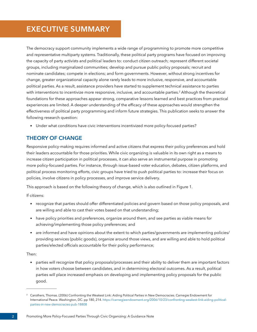# <span id="page-5-0"></span>**EXECUTIVE SUMMARY**

The democracy support community implements a wide range of programming to promote more competitive and representative multiparty systems. Traditionally, these political party programs have focused on improving the capacity of party activists and political leaders to: conduct citizen outreach; represent different societal groups, including marginalized communities; develop and pursue public policy proposals; recruit and nominate candidates; compete in elections; and form governments. However, without strong incentives for change, greater organizational capacity alone rarely leads to more inclusive, responsive, and accountable political parties. As a result, assistance providers have started to supplement technical assistance to parties with interventions to incentivize more responsive, inclusive, and accountable parties.<sup>2</sup> Although the theoretical foundations for these approaches appear strong, comparative lessons learned and best practices from practical experiences are limited. A deeper understanding of the efficacy of these approaches would strengthen the effectiveness of political party programming and inform future strategies. This publication seeks to answer the following research question:

• Under what conditions have civic interventions incentivized more policy-focused parties?

## **THEORY OF CHANGE**

Responsive policy-making requires informed and active citizens that express their policy preferences and hold their leaders accountable for those priorities. While civic organizing is valuable in its own right as a means to increase citizen participation in political processes, it can also serve an instrumental purpose in promoting more policy-focused parties. For instance, through issue-based voter education, debates, citizen platforms, and political process monitoring efforts, civic groups have tried to push political parties to: increase their focus on policies, involve citizens in policy processes, and improve service delivery.

This approach is based on the following theory of change, which is also outlined in Figure 1.

If citizens:

- recognize that parties should offer differentiated policies and govern based on those policy proposals, and are willing and able to cast their votes based on that understanding;
- have policy priorities and preferences, organize around them, and see parties as viable means for achieving/implementing those policy preferences; and
- are informed and have opinions about the extent to which parties/governments are implementing policies/ providing services (public goods), organize around those views, and are willing and able to hold political parties/elected officials accountable for their policy performance;

Then:

• parties will recognize that policy proposals/processes and their ability to deliver them are important factors in how voters choose between candidates, and in determining electoral outcomes. As a result, political parties will place increased emphasis on developing and implementing policy proposals for the public good.

<sup>2</sup> Carothers, Thomas. (2006) Confronting the Weakest Link: Aiding Political Parties in New Democracies. Carnegie Endowment for International Peace. Washington, DC. pp 180, 214. [https://carnegieendowment.org/2006/10/23/confronting-weakest-link-aiding-political](https://carnegieendowment.org/2006/10/23/confronting-weakest-link-aiding-political-parties-in-new-democracies-pub-18808)[parties-in-new-democracies-pub-18808](https://carnegieendowment.org/2006/10/23/confronting-weakest-link-aiding-political-parties-in-new-democracies-pub-18808)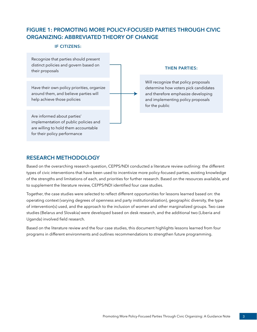## <span id="page-6-0"></span>**FIGURE 1: PROMOTING MORE POLICY-FOCUSED PARTIES THROUGH CIVIC ORGANIZING: ABBREVIATED THEORY OF CHANGE**

#### **IF CITIZENS:**

Recognize that parties should present distinct policies and govern based on their proposals

Have their own policy priorities, organize around them, and believe parties will help achieve those policies

Are informed about parties' implementation of public policies and are willing to hold them accountable for their policy performance

#### **THEN PARTIES:**

Will recognize that policy proposals determine how voters pick candidates and therefore emphasize developing and implementing policy proposals for the public

#### **RESEARCH METHODOLOGY**

Based on the overarching research question, CEPPS/NDI conducted a literature review outlining: the different types of civic interventions that have been used to incentivize more policy-focused parties, existing knowledge of the strengths and limitations of each, and priorities for further research. Based on the resources available, and to supplement the literature review, CEPPS/NDI identified four case studies.

Together, the case studies were selected to reflect different opportunities for lessons learned based on: the operating context (varying degrees of openness and party institutionalization), geographic diversity, the type of intervention(s) used, and the approach to the inclusion of women and other marginalized groups. Two case studies (Belarus and Slovakia) were developed based on desk research, and the additional two (Liberia and Uganda) involved field research.

Based on the literature review and the four case studies, this document highlights lessons learned from four programs in different environments and outlines recommendations to strengthen future programming.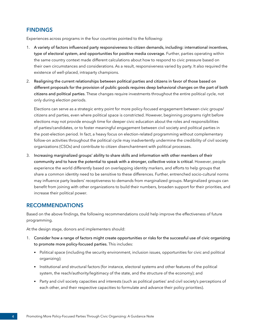#### <span id="page-7-0"></span>**FINDINGS**

Experiences across programs in the four countries pointed to the following:

- 1. A variety of factors influenced party responsiveness to citizen demands, including: international incentives, type of electoral system, and opportunities for positive media coverage. Further, parties operating within the same country context made different calculations about how to respond to civic pressure based on their own circumstances and considerations. As a result, responsiveness varied by party. It also required the existence of well-placed, intraparty champions.
- 2. Realigning the current relationships between political parties and citizens in favor of those based on different proposals for the provision of public goods requires deep behavioral changes on the part of both citizens and political parties. These changes require investments throughout the entire political cycle, not only during election periods.

Elections can serve as a strategic entry point for more policy-focused engagement between civic groups/ citizens and parties, even where political space is constricted. However, beginning programs right before elections may not provide enough time for deeper civic education about the roles and responsibilities of parties/candidates, or to foster meaningful engagement between civil society and political parties in the post-election period. In fact, a heavy focus on election-related programming without complementary follow-on activities throughout the political cycle may inadvertently undermine the credibility of civil society organizations (CSOs) and contribute to citizen disenchantment with political processes.

3. Increasing marginalized groups' ability to share skills and information with other members of their community and to have the potential to speak with a stronger, collective voice is critical. However, people experience the world differently based on overlapping identity markers, and efforts to help groups that share a common identity need to be sensitive to these differences. Further, entrenched socio-cultural norms may influence party leaders' receptiveness to demands from marginalized groups. Marginalized groups can benefit from joining with other organizations to build their numbers, broaden support for their priorities, and increase their political power.

#### **RECOMMENDATIONS**

Based on the above findings, the following recommendations could help improve the effectiveness of future programming.

At the design stage, donors and implementers should:

- 1. Consider how a range of factors might create opportunities or risks for the successful use of civic organizing to promote more policy-focused parties. This includes:
	- Political space (including the security environment, inclusion issues, opportunities for civic and political organizing);
	- Institutional and structural factors (for instance, electoral systems and other features of the political system, the reach/authority/legitimacy of the state, and the structure of the economy); and
	- Party and civil society capacities and interests (such as political parties' and civil society's perceptions of each other, and their respective capacities to formulate and advance their policy priorities).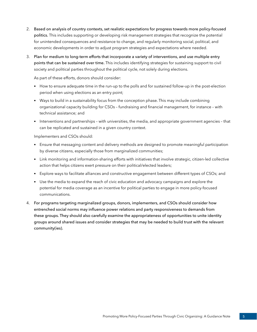- 2. Based on analysis of country contexts, set realistic expectations for progress towards more policy-focused politics. This includes supporting or developing risk management strategies that recognize the potential for unintended consequences and resistance to change, and regularly monitoring social, political, and economic developments in order to adjust program strategies and expectations where needed.
- 3. Plan for medium to long-term efforts that incorporate a variety of interventions, and use multiple entry points that can be sustained over time. This includes identifying strategies for sustaining support to civil society and political parties throughout the political cycle, not solely during elections.

As part of these efforts, donors should consider:

- How to ensure adequate time in the run-up to the polls and for sustained follow-up in the post-election period when using elections as an entry point;
- Ways to build in a sustainability focus from the conception phase. This may include combining organizational capacity building for CSOs – fundraising and financial management, for instance – with technical assistance; and
- Interventions and partnerships with universities, the media, and appropriate government agencies that can be replicated and sustained in a given country context.

Implementers and CSOs should:

- Ensure that messaging content and delivery methods are designed to promote meaningful participation by diverse citizens, especially those from marginalized communities;
- Link monitoring and information-sharing efforts with initiatives that involve strategic, citizen-led collective action that helps citizens exert pressure on their political/elected leaders;
- Explore ways to facilitate alliances and constructive engagement between different types of CSOs; and
- Use the media to expand the reach of civic education and advocacy campaigns and explore the potential for media coverage as an incentive for political parties to engage in more policy-focused communications.
- 4. For programs targeting marginalized groups, donors, implementers, and CSOs should consider how entrenched social norms may influence power relations and party responsiveness to demands from these groups. They should also carefully examine the appropriateness of opportunities to unite identity groups around shared issues and consider strategies that may be needed to build trust with the relevant community(ies).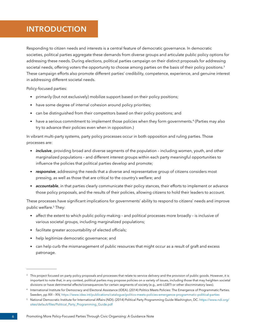# <span id="page-9-0"></span>**INTRODUCTION**

Responding to citizen needs and interests is a central feature of democratic governance. In democratic societies, political parties aggregate these demands from diverse groups and articulate public policy options for addressing these needs. During elections, political parties campaign on their distinct proposals for addressing societal needs, offering voters the opportunity to choose among parties on the basis of their policy positions.<sup>3</sup> These campaign efforts also promote different parties' credibility, competence, experience, and genuine interest in addressing different societal needs.

Policy-focused parties:

- primarily (but not exclusively) mobilize support based on their policy positions;
- have some degree of internal cohesion around policy priorities;
- can be distinguished from their competitors based on their policy positions; and
- have a serious commitment to implement those policies when they form governments.<sup>4</sup> (Parties may also try to advance their policies even when in opposition.)

In vibrant multi-party systems, party policy processes occur in both opposition and ruling parties. Those processes are:

- *inclusive*, providing broad and diverse segments of the population including women, youth, and other marginalized populations – and different interest groups within each party meaningful opportunities to influence the policies that political parties develop and promote;
- *responsive*, addressing the needs that a diverse and representative group of citizens considers most pressing, as well as those that are critical to the country's welfare; and
- *accountable*, in that parties clearly communicate their policy stances, their efforts to implement or advance those policy proposals, and the results of their policies, allowing citizens to hold their leaders to account.

These processes have significant implications for governments' ability to respond to citizens' needs and improve public welfare.<sup>5</sup> They:

- affect the extent to which public policy-making and political processes more broadly is inclusive of various societal groups, including marginalized populations;
- facilitate greater accountability of elected officials;
- help legitimize democratic governance; and
- can help curb the mismanagement of public resources that might occur as a result of graft and excess patronage.

<sup>&</sup>lt;sup>3</sup> This project focused on party policy proposals and processes that relate to service delivery and the provision of public goods. However, it is important to note that, in any context, political parties may propose policies on a variety of issues, including those that may heighten societal divisions or have detrimental effects/consequences for certain segments of society (e.g., anti-LGBTI or other discriminatory laws).

<sup>4</sup> International Institute for Democracy and Electoral Assistance (IDEA). (2014) Politics Meets Policies: The Emergence of Programmatic Parties. Sweden, pp XIII – XIV,<https://www.idea.int/publications/catalogue/politics-meets-policies-emergence-programmatic-political-parties>

<sup>5</sup> National Democratic Institute for International Affairs (NDI). (2014) Political Party Programming Guide Washington, DC. [https://www.ndi.org/](https://www.ndi.org/sites/default/files/Political_Party_Programming_Guide.pdf) [sites/default/files/Political\\_Party\\_Programming\\_Guide.pdf](https://www.ndi.org/sites/default/files/Political_Party_Programming_Guide.pdf)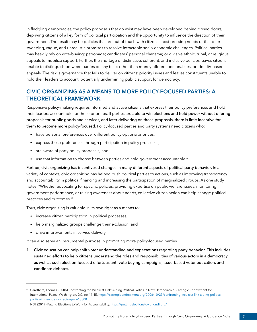<span id="page-10-0"></span>In fledgling democracies, the policy proposals that do exist may have been developed behind closed doors, depriving citizens of a key form of political participation and the opportunity to influence the direction of their government. The result may be policies that are out of touch with citizens' most pressing needs or that offer sweeping, vague, and unrealistic promises to resolve intractable socio-economic challenges. Political parties may heavily rely on vote-buying; patronage; candidates' personal charisma; or divisive ethnic, tribal, or religious appeals to mobilize support. Further, the shortage of distinctive, coherent, and inclusive policies leaves citizens unable to distinguish between parties on any basis other than money offered, personalities, or identity-based appeals. The risk is governance that fails to deliver on citizens' priority issues and leaves constituents unable to hold their leaders to account, potentially undermining public support for democracy.

## **CIVIC ORGANIZING AS A MEANS TO MORE POLICY-FOCUSED PARTIES: A THEORETICAL FRAMEWORK**

Responsive policy-making requires informed and active citizens that express their policy preferences and hold their leaders accountable for those priorities. If parties are able to win elections and hold power without offering proposals for public goods and services, and later delivering on those proposals, there is little incentive for them to become more policy-focused. Policy-focused parties and party systems need citizens who:

- have personal preferences over different policy options/priorities;
- express those preferences through participation in policy processes;
- are aware of party policy proposals; and
- use that information to choose between parties and hold government accountable.<sup>6</sup>

Further, civic organizing has incentivized changes in many different aspects of political party behavior. In a variety of contexts, civic organizing has helped push political parties to actions, such as improving transparency and accountability in political financing and increasing the participation of marginalized groups. As one study notes, "Whether advocating for specific policies, providing expertise on public welfare issues, monitoring government performance, or raising awareness about needs, collective citizen action can help change political practices and outcomes."7

Thus, civic organizing is valuable in its own right as a means to:

- increase citizen participation in political processes;
- help marginalized groups challenge their exclusion; and
- drive improvements in service delivery.

It can also serve an instrumental purpose in promoting more policy-focused parties.

1. Civic education can help shift voter understanding and expectations regarding party behavior. This includes sustained efforts to help citizens understand the roles and responsibilities of various actors in a democracy, as well as such election-focused efforts as anti-vote buying campaigns, issue-based voter education, and candidate debates.

<sup>6</sup> Carothers, Thomas. (2006) Confronting the Weakest Link: Aiding Political Parties in New Democracies. Carnegie Endowment for International Peace. Washington, DC. pp 44-45. [https://carnegieendowment.org/2006/10/23/confronting-weakest-link-aiding-political](https://carnegieendowment.org/2006/10/23/confronting-weakest-link-aiding-political-parties-in-new-democracies-pub-18808)[parties-in-new-democracies-pub-18808](https://carnegieendowment.org/2006/10/23/confronting-weakest-link-aiding-political-parties-in-new-democracies-pub-18808)

<sup>&</sup>lt;sup>7</sup> NDI. (2017) Putting Elections to Work for Accountability. <https://puttingelectionstowork.ndi.org/>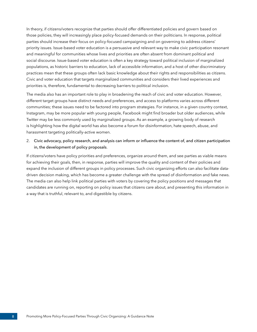In theory, if citizens/voters recognize that parties should offer differentiated policies and govern based on those policies, they will increasingly place policy-focused demands on their politicians. In response, political parties should increase their focus on policy-focused campaigning and on governing to address citizens' priority issues. Issue-based voter education is a persuasive and relevant way to make civic participation resonant and meaningful for communities whose lives and priorities are often absent from dominant political and social discourse. Issue-based voter education is often a key strategy toward political inclusion of marginalized populations, as historic barriers to education, lack of accessible information, and a host of other discriminatory practices mean that these groups often lack basic knowledge about their rights and responsibilities as citizens. Civic and voter education that targets marginalized communities and considers their lived experiences and priorities is, therefore, fundamental to decreasing barriers to political inclusion.

The media also has an important role to play in broadening the reach of civic and voter education. However, different target groups have distinct needs and preferences, and access to platforms varies across different communities; these issues need to be factored into program strategies. For instance, in a given country context, Instagram, may be more popular with young people, Facebook might find broader but older audiences, while Twitter may be less commonly used by marginalized groups. As an example, a growing body of research is highlighting how the digital world has also become a forum for disinformation, hate speech, abuse, and harassment targeting politically-active women.

#### 2. Civic advocacy, policy research, and analysis can inform or influence the content of, and citizen participation in, the development of policy proposals.

If citizens/voters have policy priorities and preferences, organize around them, and see parties as viable means for achieving their goals, then, in response, parties will improve the quality and content of their policies and expand the inclusion of different groups in policy processes. Such civic organizing efforts can also facilitate datadriven decision making, which has become a greater challenge with the spread of disinformation and fake news. The media can also help link political parties with voters by covering the policy positions and messages that candidates are running on, reporting on policy issues that citizens care about, and presenting this information in a way that is truthful, relevant to, and digestible by citizens.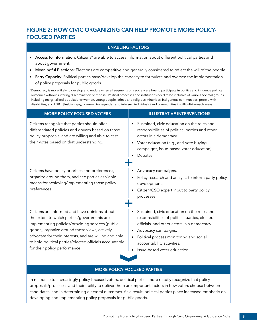## <span id="page-12-0"></span>**FIGURE 2: HOW CIVIC ORGANIZING CAN HELP PROMOTE MORE POLICY-FOCUSED PARTIES**

#### **ENABLING FACTORS**

- Access to Information: Citizens\* are able to access information about different political parties and about government.
- Meaningful Elections: Elections are competitive and generally considered to reflect the will of the people.
- Party Capacity: Political parties have/develop the capacity to formulate and oversee the implementation of policy proposals for public goods.

\*Democracy is more likely to develop and endure when all segments of a society are free to participate in politics and influence political outcomes without suffering discrimination or reprisal. Political processes and institutions need to be inclusive of various societal groups, including marginalized populations (women, young people, ethnic and religious minorities, indigenous communities, people with disabilities, and LGBTI [lesbian, gay, bisexual, transgender, and intersex] individuals) and communities in difficult-to-reach areas.

| <b>MORE POLICY-FOCUSED VOTERS</b>                                                                                                                                                                                                                                                                                                                       | <b>ILLUSTRATIVE INTERVENTIONS</b>                                                                                                                                                                                                                                                                      |
|---------------------------------------------------------------------------------------------------------------------------------------------------------------------------------------------------------------------------------------------------------------------------------------------------------------------------------------------------------|--------------------------------------------------------------------------------------------------------------------------------------------------------------------------------------------------------------------------------------------------------------------------------------------------------|
| Citizens recognize that parties should offer<br>differentiated policies and govern based on those<br>policy proposals, and are willing and able to cast<br>their votes based on that understanding.                                                                                                                                                     | Sustained, civic education on the roles and<br>responsibilities of political parties and other<br>actors in a democracy.<br>Voter education (e.g., anti-vote buying<br>$\bullet$<br>campaigns, issue-based voter education).<br>Debates.                                                               |
| Citizens have policy priorities and preferences,<br>organize around them, and see parties as viable<br>means for achieving/implementing those policy<br>preferences.                                                                                                                                                                                    | Advocacy campaigns.<br>Policy research and analysis to inform party policy<br>development.<br>Citizen/CSO expert input to party policy<br>processes.                                                                                                                                                   |
| Citizens are informed and have opinions about<br>the extent to which parties/governments are<br>implementing policies/providing services (public<br>goods), organize around those views, actively<br>advocate for their interests, and are willing and able<br>to hold political parties/elected officials accountable<br>for their policy performance. | Sustained, civic education on the roles and<br>responsibilities of political parties, elected<br>officials, and other actors in a democracy.<br>Advocacy campaigns.<br>$\bullet$<br>Political process monitoring and social<br>$\bullet$<br>accountability activities.<br>Issue-based voter education. |

#### **MORE POLICY-FOCUSED PARTIES**

In response to increasingly policy-focused voters, political parties more readily recognize that policy proposals/processes and their ability to deliver them are important factors in how voters choose between candidates, and in determining electoral outcomes. As a result, political parties place increased emphasis on developing and implementing policy proposals for public goods.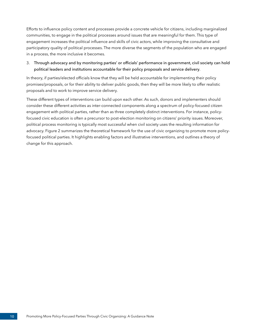Efforts to influence policy content and processes provide a concrete vehicle for citizens, including marginalized communities, to engage in the political processes around issues that are meaningful for them. This type of engagement increases the political influence and skills of civic actors, while improving the consultative and participatory quality of political processes. The more diverse the segments of the population who are engaged in a process, the more inclusive it becomes.

#### 3. Through advocacy and by monitoring parties' or officials' performance in government, civil society can hold political leaders and institutions accountable for their policy proposals and service delivery.

In theory, if parties/elected officials know that they will be held accountable for implementing their policy promises/proposals, or for their ability to deliver public goods, then they will be more likely to offer realistic proposals and to work to improve service delivery.

These different types of interventions can build upon each other. As such, donors and implementers should consider these different activities as inter-connected components along a spectrum of policy-focused citizen engagement with political parties, rather than as three completely distinct interventions. For instance, policyfocused civic education is often a precursor to post-election monitoring on citizens' priority issues. Moreover, political process monitoring is typically most successful when civil society uses the resulting information for advocacy. Figure 2 summarizes the theoretical framework for the use of civic organizing to promote more policyfocused political parties. It highlights enabling factors and illustrative interventions, and outlines a theory of change for this approach.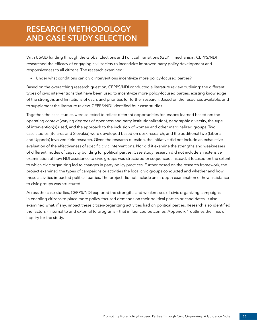# <span id="page-14-0"></span>**RESEARCH METHODOLOGY AND CASE STUDY SELECTION**

With USAID funding through the Global Elections and Political Transitions (GEPT) mechanism, CEPPS/NDI researched the efficacy of engaging civil society to incentivize improved party policy development and responsiveness to all citizens. The research examined:

• Under what conditions can civic interventions incentivize more policy-focused parties?

Based on the overarching research question, CEPPS/NDI conducted a literature review outlining: the different types of civic interventions that have been used to incentivize more policy-focused parties, existing knowledge of the strengths and limitations of each, and priorities for further research. Based on the resources available, and to supplement the literature review, CEPPS/NDI identified four case studies.

Together, the case studies were selected to reflect different opportunities for lessons learned based on: the operating context (varying degrees of openness and party institutionalization), geographic diversity, the type of intervention(s) used, and the approach to the inclusion of women and other marginalized groups. Two case studies (Belarus and Slovakia) were developed based on desk research, and the additional two (Liberia and Uganda) involved field research. Given the research question, the initiative did not include an exhaustive evaluation of the effectiveness of specific civic interventions. Nor did it examine the strengths and weaknesses of different modes of capacity building for political parties. Case study research did not include an extensive examination of how NDI assistance to civic groups was structured or sequenced. Instead, it focused on the extent to which civic organizing led to changes in party policy practices. Further based on the research framework, the project examined the types of campaigns or activities the local civic groups conducted and whether and how these activities impacted political parties. The project did not include an in-depth examination of how assistance to civic groups was structured.

Across the case studies, CEPPS/NDI explored the strengths and weaknesses of civic organizing campaigns in enabling citizens to place more policy-focused demands on their political parties or candidates. It also examined what, if any, impact these citizen-organizing activities had on political parties. Research also identified the factors – internal to and external to programs – that influenced outcomes. Appendix 1 outlines the lines of inquiry for the study.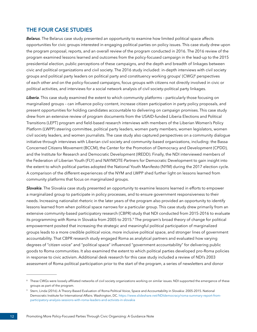### **THE FOUR CASE STUDIES**

*Belarus*. The Belarus case study presented an opportunity to examine how limited political space affects opportunities for civic groups interested in engaging political parties on policy issues. This case study drew upon the program proposal, reports, and an overall review of the program conducted in 2016. The 2016 review of the program examined lessons learned and outcomes from the policy-focused campaign in the lead-up to the 2015 presidential election, public perceptions of these campaigns, and the depth and breadth of linkages between civic and political organizations and civil society. The 2016 study included: in-depth interviews with civil society groups and political party leaders on political party and constituency working groups' (CWG)<sup>8</sup> perspectives of each other and on the policy-focused campaigns, focus groups with citizens not directly involved in civic or political activities, and interviews for a social network analysis of civil society-political party linkages.

*Liberia*. This case study examined the extent to which community platforms – particularly those focusing on marginalized groups – can influence policy content, increase citizen participation in party policy proposals, and present opportunities for holding candidates accountable to delivering on campaign promises. This case study drew from an extensive review of program documents from the USAID-funded Liberia Elections and Political Transitions (LEPT) program and field-based research interviews with members of the Liberian Women's Policy Platform (LWPP) steering committee, political party leaders, women party members, women legislators, women civil society leaders, and women journalists. The case study also captured perspectives on a community dialogue initiative through interviews with Liberian civil society and community-based organizations, including: the Bassa Concerned Citizens Movement (BCCM), the Center for the Promotion of Democracy and Development (CPDD), and the Institute for Research and Democratic Development (IREDD). Finally, the NDI interviewed members of the Federation of Liberian Youth (FLY) and NAYMOTE-Partners for Democratic Development to gain insight into the extent to which political parties adopted the National Youth Manifesto (NYM) during the 2017 election cycle. A comparison of the different experiences of the NYM and LWPP shed further light on lessons learned from community platforms that focus on marginalized groups.

*Slovakia*. The Slovakia case study presented an opportunity to examine lessons learned in efforts to empower a marginalized group to participate in policy processes, and to ensure government responsiveness to their needs. Increasing nationalist rhetoric in the later years of the program also provided an opportunity to identify lessons learned from when political space narrows for a particular group. This case study drew primarily from an extensive community-based participatory research (CBPR) study that NDI conducted from 2015-2016 to evaluate its programming with Roma in Slovakia from 2005 to 2015.<sup>9</sup> The program's broad theory of change for political empowerment posited that increasing the strategic and meaningful political participation of marginalized groups leads to a more credible political voice, more inclusive political space, and stronger lines of government accountability. That CBPR research study engaged Roma as analytical partners and evaluated how varying degrees of "citizen voice" and "political space" influenced "government accountability" for delivering public goods to Roma communities. It also examined the extent to which political parties developed pro-Roma policies in response to civic activism. Additional desk research for this case study included a review of NDI's 2003 assessment of Roma political participation prior to the start of the program, a series of newsletters and donor

<sup>&</sup>lt;sup>8</sup> These CWGs were loosely affiliated networks of civil society organizations working on similar issues. NDI supported the emergence of these groups as part of the program.

<sup>9</sup> Stern, Linda (2016). A Theory-Based Evaluation of Roma Political Voice, Space and Accountability in Slovakia: 2005-2015. National Democratic Institute for International Affairs. Washington, DC. [https://www.slideshare.net/NDIdemocracy/roma-summary-report-from](https://www.slideshare.net/NDIdemocracy/roma-summary-report-from-participatory-analysis-sessions-with-roma-leaders-and-activists-in-slovakia)[participatory-analysis-sessions-with-roma-leaders-and-activists-in-slovakia](https://www.slideshare.net/NDIdemocracy/roma-summary-report-from-participatory-analysis-sessions-with-roma-leaders-and-activists-in-slovakia)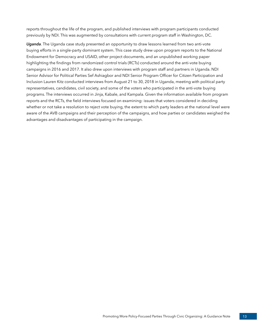reports throughout the life of the program, and published interviews with program participants conducted previously by NDI. This was augmented by consultations with current program staff in Washington, DC.

*Uganda*. The Uganda case study presented an opportunity to draw lessons learned from two anti-vote buying efforts in a single-party dominant system. This case study drew upon program reports to the National Endowment for Democracy and USAID, other project documents, and an unpublished working paper highlighting the findings from randomized control trials (RCTs) conducted around the anti-vote buying campaigns in 2016 and 2017. It also drew upon interviews with program staff and partners in Uganda. NDI Senior Advisor for Political Parties Sef Ashiagbor and NDI Senior Program Officer for Citizen Participation and Inclusion Lauren Kitz conducted interviews from August 21 to 30, 2018 in Uganda, meeting with political party representatives, candidates, civil society, and some of the voters who participated in the anti-vote buying programs. The interviews occurred in Jinja, Kabale, and Kampala. Given the information available from program reports and the RCTs, the field interviews focused on examining: issues that voters considered in deciding whether or not take a resolution to reject vote buying, the extent to which party leaders at the national level were aware of the AVB campaigns and their perception of the campaigns, and how parties or candidates weighed the advantages and disadvantages of participating in the campaign.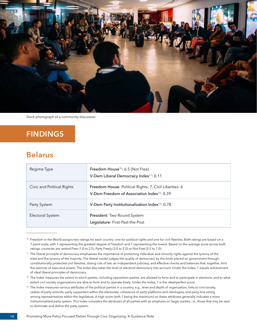<span id="page-17-0"></span>

Stock photograph of a community discussion.

# **FINDINGS**

## **Belarus**

| Regime Type                | Freedom House <sup>10</sup> : 6.5 (Not Free)<br>V-Dem Liberal Democracy Index <sup>11</sup> : 0.11                |
|----------------------------|-------------------------------------------------------------------------------------------------------------------|
| Civic and Political Rights | Freedom House: Political Rights: 7, Civil Liberties: 6<br>V-Dem Freedom of Association Index <sup>12</sup> : 0.39 |
| Party System               | V-Dem Party Institutionalization Index <sup>13</sup> : 0.78                                                       |
| Electoral System           | President: Two-Round System<br>Legislature: First-Past-the-Post                                                   |

<sup>&</sup>lt;sup>10</sup> Freedom in the World assigns two ratings for each country: one for political rights and one for civil liberties. Both ratings are based on a 7 point scale, with 1 representing the greatest degree of freedom and 7 representing the lowest. Based on the average score across both ratings, countries are ranked Free (1.0 to 2.5), Party Freely (3.0 to 5.0) or Not Free (5.5 to 7.0).

<sup>&</sup>lt;sup>11</sup> The liberal principle of democracy emphasizes the importance of protecting individual and minority rights against the tyranny of the state and the tyranny of the majority. The liberal model judges the quality of democracy by the limits placed on government through: constitutionally protected civil liberties, strong rule of law, an independent judiciary, and effective checks and balances that, together, limit the exercise of executive power. The Index also takes the level of electoral democracy into account. Under the Index, 1 equals achievement of ideal liberal principles of democracy.

<sup>&</sup>lt;sup>12</sup> The Index measures the extent to which parties, including opposition parties, are allowed to form and to participate in elections, and to what extent civil society organizations are able to form and to operate freely. Under the Index, 1 is the ideal/perfect score.

<sup>&</sup>lt;sup>13</sup> The Index measures various attributes of the political parties in a country, e.g., level and depth of organization, links to civil society, cadres of party activists, party supporters within the electorate, coherence of party platforms and ideologies, and party-line voting among representatives within the legislature. A high score (with 1 being the maximum) on these attributes generally indicates a more institutionalized party system. This Index considers the attributes of all parties with an emphasis on larger parties, i.e., those that may be said to dominate and define the party system.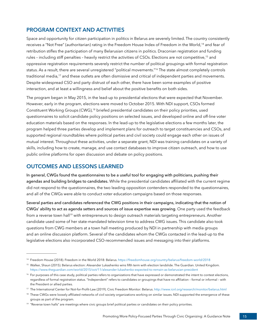### **PROGRAM CONTEXT AND ACTIVITIES**

Space and opportunity for citizen participation in politics in Belarus are severely limited. The country consistently receives a "Not Free" (authoritarian) rating in the Freedom House Index of Freedom in the World,<sup>14</sup> and fear of retribution stifles the participation of many Belarusian citizens in politics. Draconian registration and funding rules - including stiff penalties - heavily restrict the activities of CSOs. Elections are not competitive,<sup>15</sup> and oppressive registration requirements severely restrict the number of political groupings with formal registration status. As a result, there are several unregistered "political movements."16 The state almost completely controls traditional media,17 and these outlets are often dismissive and critical of independent parties and movements. Despite widespread CSO and party distrust of each other, there have been some examples of positive interaction, and at least a willingness and belief about the positive benefits on both sides.

The program began in May 2015, in the lead-up to presidential elections that were expected that November. However, early in the program, elections were moved to October 2015. With NDI support, CSOs formed Constituent Working Groups (CWG),18 briefed presidential candidates on their policy priorities, used questionnaires to solicit candidate policy positions on selected issues, and developed online and off-line voter education materials based on the responses. In the lead-up to the legislative elections a few months later, the program helped three parties develop and implement plans for outreach to target constituencies and CSOs, and supported regional roundtables where political parties and civil society could engage each other on issues of mutual interest. Throughout these activities, under a separate grant, NDI was training candidates on a variety of skills, including how to create, manage, and use contact databases to improve citizen outreach, and how to use public online platforms for open discussion and debate on policy positions.

#### **OUTCOMES AND LESSONS LEARNED**

In general, CWGs found the questionnaires to be a useful tool for engaging with politicians, pushing their agendas and building bridges to candidates. While the presidential candidates affiliated with the current regime did not respond to the questionnaires, the two leading opposition contenders responded to the questionnaires, and all of the CWGs were able to conduct voter education campaigns based on those responses.

Several parties and candidates referenced the CWG positions in their campaigns, indicating that the notion of CWGs' ability to act as agenda setters and sources of issue expertise was growing. One party used the feedback from a reverse town hall<sup>19</sup> with entrepreneurs to design outreach materials targeting entrepreneurs. Another candidate used some of her state-mandated television time to address CWG issues. This candidate also took questions from CWG members at a town hall meeting produced by NDI in partnership with media groups and an online discussion platform. Several of the candidates whom the CWGs contacted in the lead-up to the legislative elections also incorporated CSO-recommended issues and messaging into their platforms.

<sup>14</sup> Freedom House (2018). Freedom in the World 2018: Belarus.<https://freedomhouse.org/country/belarus/freedom-world/2018>

<sup>&</sup>lt;sup>15</sup> Walker, Shaun (2015). Belarus election: Alexander Lukashenko wins fifth term with election landslide. The Guardian. United Kingdom. <https://www.theguardian.com/world/2015/oct/11/alexander-lukashenko-expected-to-remain-as-belarusian-president>

<sup>&</sup>lt;sup>16</sup> For purposes of this case study, political parties refers to organizations that have expressed or demonstrated the intent to contest elections, regardless of formal registration status. "Independent" refers to candidates or groupings that have no affiliation – formal or informal – with the President or allied parties.

<sup>17</sup> The International Center for Not-for-Profit-Law (2019). Civic Freedom Monitor: Belarus. <http://www.icnl.org/research/monitor/belarus.html>

<sup>&</sup>lt;sup>18</sup> These CWGs were loosely affiliated networks of civil society organizations working on similar issues. NDI supported the emergence of these groups as part of the program.

<sup>&</sup>lt;sup>19</sup> "Reverse town halls" are meetings where civic groups brief political parties or candidates on their policy priorities.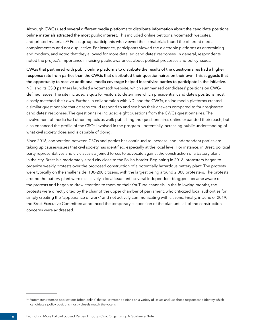Although CWGs used several different media platforms to distribute information about the candidate positions, online materials attracted the most public interest. This included online petitions, votematch websites, and printed materials.<sup>20</sup> Focus group participants who viewed these materials found the different media complementary and not duplicative. For instance, participants viewed the electronic platforms as entertaining and modern, and noted that they allowed for more detailed candidates' responses. In general, respondents noted the project's importance in raising public awareness about political processes and policy issues.

CWGs that partnered with public online platforms to distribute the results of the questionnaires had a higher response rate from parties than the CWGs that distributed their questionnaires on their own. This suggests that the opportunity to receive additional media coverage helped incentivize parties to participate in the initiative. NDI and its CSO partners launched a votematch website, which summarized candidates' positions on CWGdefined issues. The site included a quiz for visitors to determine which presidential candidate's positions most closely matched their own. Further, in collaboration with NDI and the CWGs, online media platforms created a similar questionnaire that citizens could respond to and see how their answers compared to four registered candidates' responses. The questionnaire included eight questions from the CWGs questionnaires. The involvement of media had other impacts as well: publishing the questionnaires online expanded their reach, but also enhanced the profile of the CSOs involved in the program – potentially increasing public understanding of what civil society does and is capable of doing.

Since 2016, cooperation between CSOs and parties has continued to increase, and independent parties are taking up causes/issues that civil society has identified, especially at the local level. For instance, in Brest, political party representatives and civic activists joined forces to advocate against the construction of a battery plant in the city. Brest is a moderately-sized city close to the Polish border. Beginning in 2018, protesters began to organize weekly protests over the proposed construction of a potentially hazardous battery plant. The protests were typically on the smaller side, 100-200 citizens, with the largest being around 2,000 protesters. The protests around the battery plant were exclusively a local issue until several independent bloggers became aware of the protests and began to draw attention to them on their YouTube channels. In the following months, the protests were directly cited by the chair of the upper chamber of parliament, who criticized local authorities for simply creating the "appearance of work" and not actively communicating with citizens. Finally, in June of 2019, the Brest Executive Committee announced the temporary suspension of the plan until all of the construction concerns were addressed.

<sup>&</sup>lt;sup>20</sup> Votematch refers to applications (often online) that solicit voter opinions on a variety of issues and use those responses to identify which candidate's policy positions mostly closely match the voter's.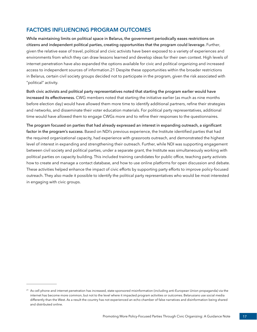## **FACTORS INFLUENCING PROGRAM OUTCOMES**

While maintaining limits on political space in Belarus, the government periodically eases restrictions on citizens and independent political parties, creating opportunities that the program could leverage. Further, given the relative ease of travel, political and civic activists have been exposed to a variety of experiences and environments from which they can draw lessons learned and develop ideas for their own context. High levels of internet penetration have also expanded the options available for civic and political organizing and increased access to independent sources of information.21 Despite these opportunities within the broader restrictions in Belarus, certain civil society groups decided not to participate in the program, given the risk associated with "political" activity.

Both civic activists and political party representatives noted that starting the program earlier would have increased its effectiveness. CWG members noted that starting the initiative earlier (as much as nine months before election day) would have allowed them more time to identify additional partners, refine their strategies and networks, and disseminate their voter education materials. For political party representatives, additional time would have allowed them to engage CWGs more and to refine their responses to the questionnaires.

The program focused on parties that had already expressed an interest in expanding outreach, a significant factor in the program's success. Based on NDI's previous experience, the Institute identified parties that had the required organizational capacity, had experience with grassroots outreach, and demonstrated the highest level of interest in expanding and strengthening their outreach. Further, while NDI was supporting engagement between civil society and political parties, under a separate grant, the Institute was simultaneously working with political parties on capacity building. This included training candidates for public office, teaching party activists how to create and manage a contact database, and how to use online platforms for open discussion and debate. These activities helped enhance the impact of civic efforts by supporting party efforts to improve policy-focused outreach. They also made it possible to identify the political party representatives who would be most interested in engaging with civic groups.

<sup>&</sup>lt;sup>21</sup> As cell phone and internet penetration has increased, state-sponsored misinformation (including anti-European Union propaganda) via the internet has become more common, but not to the level where it impacted program activities or outcomes. Belarusians use social media differently than the West. As a result the country has not experienced an echo chamber of false narratives and disinformation being shared and distributed online.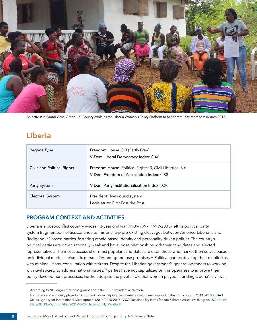<span id="page-21-0"></span>

An activist in Grand Cess, Grand Kru County explains the Liberia Women's Policy Platform to her community members (March 2017).

## **Liberia**

| Regime Type                | Freedom House: 3.3 (Partly Free)<br>V-Dem Liberal Democracy Index: 0.46                                     |
|----------------------------|-------------------------------------------------------------------------------------------------------------|
| Civic and Political Rights | <b>Freedom House: Political Rights: 3, Civil Liberties: 3.6</b><br>V-Dem Freedom of Association Index: 0.88 |
| Party System               | V-Dem Party Institutionalization Index: 0.20                                                                |
| Electoral System           | President: Two-round system<br>Legislature: First-Past-the-Post                                             |

### **PROGRAM CONTEXT AND ACTIVITIES**

Liberia is a post-conflict country whose 13-year civil war (1989-1997, 1999-2003) left its political party system fragmented. Politics continue to mirror sharp pre-existing cleavages between Americo-Liberians and "indigenous"-based parties, fostering ethnic-based identity and personality-driven politics. The country's political parties are organizationally weak and have loose relationships with their candidates and elected representatives. The most successful or most popular candidates are often those who market themselves based on individual merit, charismatic personality, and grandiose promises.22 Political parties develop their manifestos with minimal, if any, consultation with citizens. Despite the Liberian government's general openness to working with civil society to address national issues,<sup>23</sup> parties have not capitalized on this openness to improve their policy development processes. Further, despite the pivotal role that women played in ending Liberia's civil war,

<sup>&</sup>lt;sup>22</sup> According to NDI-organized focus groups about the 2017 presidential election.

<sup>&</sup>lt;sup>23</sup> For instance, civil society played an important role in helping the Liberian government respond to the Ebola crisis in 2014/2015. United States Agency for International Development (2014/2015/2016). CSO Sustainability Index for sub-Saharan Africa. Washington, DC. [https://](https://bit.ly/2DLKLWx,) [bit.ly/2DLKLWx,](https://bit.ly/2DLKLWx,) [https://bit.ly/2DMOV0o,](https://bit.ly/2DMOV0o) <https://bit.ly/2WyBecF>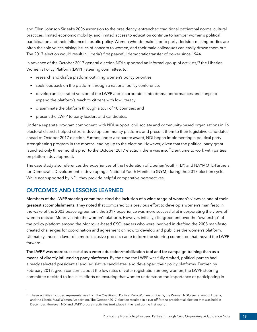and Ellen Johnson Sirleaf's 2006 ascension to the presidency, entrenched traditional patriarchal norms, cultural practices, limited economic mobility, and limited access to education continue to hamper women's political participation and their influence in public policy. Women who do make it onto party decision-making bodies are often the sole voices raising issues of concern to women, and their male colleagues can easily drown them out. The 2017 election would result in Liberia's first peaceful democratic transfer of power since 1944.

In advance of the October 2017 general election NDI supported an informal group of activists,<sup>24</sup> the Liberian Women's Policy Platform (LWPP) steering committee, to:

- research and draft a platform outlining women's policy priorities;
- seek feedback on the platform through a national policy conference;
- develop an illustrated version of the LWPP and incorporate it into drama performances and songs to expand the platform's reach to citizens with low literacy;
- disseminate the platform through a tour of 10 counties; and
- present the LWPP to party leaders and candidates.

Under a separate program component, with NDI support, civil society and community-based organizations in 16 electoral districts helped citizens develop community platforms and present them to their legislative candidates ahead of October 2017 election. Further, under a separate award, NDI began implementing a political party strengthening program in the months leading up to the election. However, given that the political party grant launched only three months prior to the October 2017 election, there was insufficient time to work with parties on platform development.

The case study also references the experiences of the Federation of Liberian Youth (FLY) and NAYMOTE-Partners for Democratic Development in developing a National Youth Manifesto (NYM) during the 2017 election cycle. While not supported by NDI, they provide helpful comparative perspectives.

### **OUTCOMES AND LESSONS LEARNED**

Members of the LWPP steering committee cited the inclusion of a wide range of women's views as one of their greatest accomplishments. They noted that compared to a previous effort to develop a women's manifesto in the wake of the 2003 peace agreement, the 2017 experience was more successful at incorporating the views of women outside Monrovia into the women's platform. However, initially, disagreement over the "ownership" of the policy platform among the Monrovia-based CSO leaders who were involved in drafting the 2005 manifesto created challenges for coordination and agreement on how to develop and publicize the women's platform. Ultimately, those in favor of a more inclusive process came to form the steering committee that moved the LWPP forward.

The LWPP was more successful as a voter education/mobilization tool and for campaign-training than as a means of directly influencing party platforms. By the time the LWPP was fully drafted, political parties had already selected presidential and legislative candidates, and developed their policy platforms. Further, by February 2017, given concerns about the low rates of voter registration among women, the LWPP steering committee decided to focus its efforts on ensuring that women understood the importance of participating in

<sup>&</sup>lt;sup>24</sup> These activities included representatives from the Coalition of Political Party Women of Liberia, the Women NGO Secretariat of Liberia, and the Liberia Rural Women Association. The October 2017 election resulted in a run-off for the presidential election that was held in December. However, NDI and LWPP program activities took place in the lead up the first round.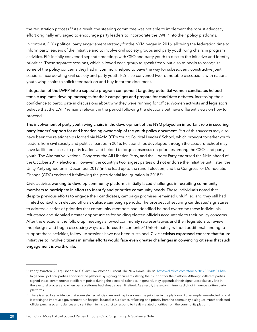the registration process.25 As a result, the steering committee was not able to implement the robust advocacy effort originally envisaged to encourage party leaders to incorporate the LWPP into their policy platforms.

In contrast, FLY's political party engagement strategy for the NYM began in 2016, allowing the federation time to inform party leaders of the initiative and to involve civil society groups and party youth wing chairs in program activities. FLY initially convened separate meetings with CSO and party youth to discuss the initiative and identify priorities. These separate sessions, which allowed each group to speak freely but also to begin to recognize some of the policy concerns they had in common, helped to pave the way for subsequent, constructive joint sessions incorporating civil society and party youth. FLY also convened two roundtable discussions with national youth wing chairs to solicit feedback on and buy-in for the document.

Integration of the LWPP into a separate program component targeting potential women candidates helped female aspirants develop messages for their campaigns and prepare for candidate debates, increasing their confidence to participate in discussions about why they were running for office. Women activists and legislators believe that the LWPP remains relevant in the period following the elections but have different views on how to proceed.

The involvement of party youth wing chairs in the development of the NYM played an important role in securing party leaders' support for and broadening ownership of the youth policy document. Part of this success may also have been the relationships forged via NAYMOTE's Young Political Leaders' School, which brought together youth leaders from civil society and political parties in 2016. Relationships developed through the Leaders' School may have facilitated access to party leaders and helped to forge consensus on priorities among the CSOs and party youth. The Alternative National Congress, the All Liberian Party, and the Liberty Party endorsed the NYM ahead of the October 2017 elections. However, the country's two largest parties did not endorse the initiative until later: the Unity Party signed on in December 2017 (in the lead up to the runoff election) and the Congress for Democratic Change (CDC) endorsed it following the presidential inauguration in 2018.<sup>26</sup>

Civic activists working to develop community platforms initially faced challenges in recruiting community members to participate in efforts to identify and prioritize community needs. These individuals noted that despite previous efforts to engage their candidates, campaign promises remained unfulfilled and they still had limited contact with elected officials outside campaign periods. The prospect of securing candidates' signatures to address a series of priorities that community members had identified helped overcome these individuals' reluctance and signaled greater opportunities for holding elected officials accountable to their policy concerns. After the elections, the follow-up meetings allowed community representatives and their legislators to review the pledges and begin discussing ways to address the contents.<sup>27</sup> Unfortunately, without additional funding to support these activities, follow-up sessions have not been sustained. Civic activists expressed concern that future initiatives to involve citizens in similar efforts would face even greater challenges in convincing citizens that such engagement is worthwhile.

<sup>25</sup> Parley, Winston (2017). Liberia: NEC Claim Low Women Turnout. The New Dawn. Liberia.<https://allafrica.com/stories/201702240601.html>

<sup>&</sup>lt;sup>26</sup> In general, political parties endorsed the platform by signing documents stating their support for the platform. Although different parties signed these commitments at different points during the electoral calendar, in general, they appended their signatures relatively late in the electoral process and when party platforms had already been finalized. As a result, these commitments did not influence written party platforms.

<sup>&</sup>lt;sup>27</sup> There is anecdotal evidence that some elected officials are working to address the priorities in the platforms. For example, one elected official is working to improve a government-run hospital located in his district, reflecting one priority from the community dialogues. Another elected official purchased ambulances and sent them to his district to respond to health-related priorities from the community platform.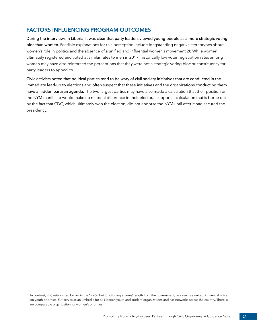## **FACTORS INFLUENCING PROGRAM OUTCOMES**

During the interviews in Liberia, it was clear that party leaders viewed young people as a more strategic voting bloc than women. Possible explanations for this perception include longstanding negative stereotypes about women's role in politics and the absence of a unified and influential women's movement.28 While women ultimately registered and voted at similar rates to men in 2017, historically low voter registration rates among women may have also reinforced the perceptions that they were not a strategic voting bloc or constituency for party leaders to appeal to.

Civic activists noted that political parties tend to be wary of civil society initiatives that are conducted in the immediate lead-up to elections and often suspect that these initiatives and the organizations conducting them have a hidden partisan agenda. The two largest parties may have also made a calculation that their position on the NYM manifesto would make no material difference in their electoral support, a calculation that is borne out by the fact that CDC, which ultimately won the election, did not endorse the NYM until after it had secured the presidency.

<sup>&</sup>lt;sup>28</sup> In contrast, FLY, established by law in the 1970s, but functioning at arms' length from the government, represents a united, influential voice on youth priorities. FLY serves as an umbrella for all Liberian youth and student organizations and has networks across the country. There is no comparable organization for women's priorities.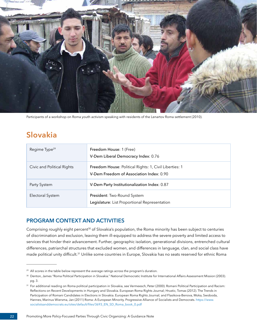<span id="page-25-0"></span>

Participants of a workshop on Roma youth activism speaking with residents of the Lenartov Roma settlement (2010).

# **Slovakia**

| Regime Type <sup>29</sup>  | Freedom House: 1 (Free)<br>V-Dem Liberal Democracy Index: 0.76                                            |
|----------------------------|-----------------------------------------------------------------------------------------------------------|
| Civic and Political Rights | <b>Freedom House: Political Rights: 1, Civil Liberties: 1</b><br>V-Dem Freedom of Association Index: 0.90 |
| Party System               | V-Dem Party Institutionalization Index: 0.87                                                              |
| Electoral System           | President: Two-Round System<br>Legislature: List Proportional Representation                              |

#### **PROGRAM CONTEXT AND ACTIVITIES**

Comprising roughly eight percent<sup>30</sup> of Slovakia's population, the Roma minority has been subject to centuries of discrimination and exclusion, leaving them ill-equipped to address the severe poverty and limited access to services that hinder their advancement. Further, geographic isolation, generational divisions, entrenched cultural differences, patriarchal structures that excluded women, and differences in language, clan, and social class have made political unity difficult.31 Unlike some countries in Europe, Slovakia has no seats reserved for ethnic Roma

<sup>&</sup>lt;sup>29</sup> All scores in the table below represent the average ratings across the program's duration.

<sup>&</sup>lt;sup>30</sup> Denton, James "Roma Political Participation in Slovakia." National Democratic Institute for International Affairs Assessment Mission (2003). pg. 3.

<sup>&</sup>lt;sup>31</sup> For additional reading on Roma political participation in Slovakia, see Vermeesch, Peter (2000). Romani Political Participation and Racism: Reflections on Recent Developments in Hungary and Slovakia. European Roma Rights Journal; Hrustic, Tomas (2012). The Trends in Participation of Romani Candidates in Elections in Slovakia. European Roma Rights Journal; and Flasikova-Benova, Moka, Swoboda, Hannes, Marinus Wiersma, Jan (2011) Roma: A European Minority. Progressive Alliance of Socialists and Democrats. [https://www.](https://www.socialistsanddemocrats.eu/sites/default/files/3693_EN_SD_Roma_book_0.pdf) [socialistsanddemocrats.eu/sites/default/files/3693\\_EN\\_SD\\_Roma\\_book\\_0.pdf](https://www.socialistsanddemocrats.eu/sites/default/files/3693_EN_SD_Roma_book_0.pdf)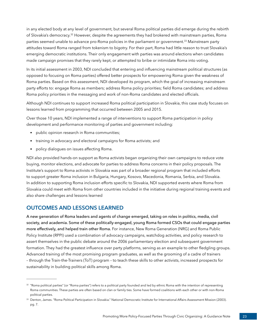in any elected body at any level of government, but several Roma political parties did emerge during the rebirth of Slovakia's democracy.<sup>32</sup> However, despite the agreements they had brokered with mainstream parties, Roma parties seemed unable to advance pro-Roma policies in the parliament or government.<sup>33</sup> Mainstream party attitudes toward Roma ranged from tokenism to bigotry. For their part, Roma had little reason to trust Slovakia's emerging democratic institutions. Their only engagement with parties was around elections when candidates made campaign promises that they rarely kept, or attempted to bribe or intimidate Roma into voting.

In its initial assessment in 2003, NDI concluded that entering and influencing mainstream political structures (as opposed to focusing on Roma parties) offered better prospects for empowering Roma given the weakness of Roma parties. Based on this assessment, NDI developed its program, which the goal of increasing mainstream party efforts to: engage Roma as members; address Roma policy priorities; field Roma candidates; and address Roma policy priorities in the messaging and work of non-Roma candidates and elected officials.

Although NDI continues to support increased Roma political participation in Slovakia, this case study focuses on lessons learned from programming that occurred between 2005 and 2015.

Over those 10 years, NDI implemented a range of interventions to support Roma participation in policy development and performance monitoring of parties and government including:

- public opinion research in Roma communities;
- training in advocacy and electoral campaigns for Roma activists; and
- policy dialogues on issues affecting Roma.

NDI also provided hands-on support as Roma activists began organizing their own campaigns to reduce vote buying, monitor elections, and advocate for parties to address Roma concerns in their policy proposals. The Institute's support to Roma activists in Slovakia was part of a broader regional program that included efforts to support greater Roma inclusion in Bulgaria, Hungary, Kosovo, Macedonia, Romania, Serbia, and Slovakia. In addition to supporting Roma inclusion efforts specific to Slovakia, NDI supported events where Roma from Slovakia could meet with Roma from other countries included in the initiative during regional training events and also share challenges and lessons learned

#### **OUTCOMES AND LESSONS LEARNED**

A new generation of Roma leaders and agents of change emerged, taking on roles in politics, media, civil society, and academia. Some of these politically-engaged, young Roma formed CSOs that could engage parties more effectively, and helped train other Roma. For instance, New Roma Generation (NRG) and Roma Public Policy Institute (RPPI) used a combination of advocacy campaigns, watchdog activities, and policy research to assert themselves in the public debate around the 2006 parliamentary election and subsequent government formation. They had the greatest influence over party platforms, serving as an example to other fledgling groups. Advanced training of the most promising program graduates, as well as the grooming of a cadre of trainers – through the Train-the-Trainers (ToT) program – to teach these skills to other activists, increased prospects for sustainability in building political skills among Roma.

<sup>&</sup>lt;sup>32</sup> "Roma political parties" (or "Roma parties") refers to a political party founded and led by ethnic Roma with the intention of representing Roma communities. These parties are often based on clan or family ties. Some have formed coalitions with each other or with non-Roma political parties.

<sup>33</sup> Denton, James. "Roma Political Participation in Slovakia." National Democratic Institute for International Affairs Assessment Mission (2003). pg. 7.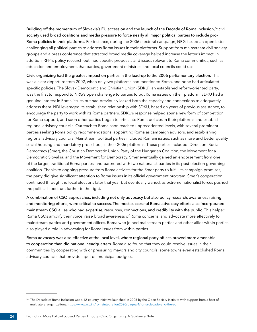Building off the momentum of Slovakia's EU accession and the launch of the Decade of Roma Inclusion,<sup>34</sup> civil society used broad coalitions and media pressure to force nearly all major political parties to include pro-Roma policies in their platforms. For instance, during the 2006 electoral campaign, NRG issued an open letter challenging all political parties to address Roma issues in their platforms. Support from mainstream civil society groups and a press conference that attracted broad media coverage helped increase the letter's impact. In addition, RPPI's policy research outlined specific proposals and issues relevant to Roma communities, such as education and employment, that parties, government ministries and local councils could use.

Civic organizing had the greatest impact on parties in the lead-up to the 2006 parliamentary election. This was a clear departure from 2002, when only two platforms had mentioned Roma, and none had articulated specific policies. The Slovak Democratic and Christian Union (SDKU), an established reform-oriented party, was the first to respond to NRG's open challenge to parties to put Roma issues on their platform. SDKU had a genuine interest in Roma issues but had previously lacked both the capacity and connections to adequately address them. NDI leveraged its established relationship with SDKU, based on years of previous assistance, to encourage the party to work with its Roma partners. SDKU's response helped spur a new form of competition for Roma support, and soon other parties began to articulate Roma policies in their platforms and establish regional advisory councils. Outreach to Roma soon reached unprecedented levels, with several prominent parties seeking Roma policy recommendations, appointing Roma as campaign advisors, and establishing regional advisory councils. Mainstream political parties included Romani issues, such as more and better quality social housing and mandatory pre-school, in their 2006 platforms. These parties included: Direction- Social Democracy (Smer), the Christian Democratic Union, Party of the Hungarian Coalition, the Movement for a Democratic Slovakia, and the Movement for Democracy. Smer eventually gained an endorsement from one of the larger, traditional Roma parties, and partnered with two nationalist parties in its post-election governing coalition. Thanks to ongoing pressure from Roma activists for the Smer party to fulfill its campaign promises, the party did give significant attention to Roma issues in its official government program. Smer's cooperation continued through the local elections later that year but eventually waned, as extreme nationalist forces pushed the political spectrum further to the right.

A combination of CSO approaches, including not only advocacy but also policy research, awareness raising, and monitoring efforts, were critical to success. The most successful Roma advocacy efforts also incorporated mainstream CSO allies who had expertise, resources, connections, and credibility with the public. This helped Roma CSOs amplify their voice, raise broad awareness of Roma concerns, and advocate more effectively to mainstream parties and government offices. Roma who joined mainstream parties and other allies within parties also played a role in advocating for Roma issues from within parties.

Roma advocacy was also effective at the local level, where regional party offices proved more amenable to cooperation than did national headquarters. Roma also found that they could resolve issues in their communities by cooperating with or pressuring mayors and city councils; some towns even established Roma advisory councils that provide input on municipal budgets.

<sup>&</sup>lt;sup>34</sup> The Decade of Roma Inclusion was a 12-country initiative launched in 2005 by the Open Society Institute with support from a host of multilateral organizations.<https://www.rcc.int/romaintegration2020/pages/4/roma-decade-and-the-eu>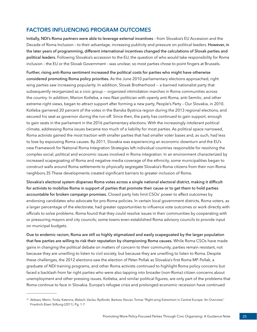### **FACTORS INFLUENCING PROGRAM OUTCOMES**

Initially, NDI's Roma partners were able to leverage external incentives – from Slovakia's EU Accession and the Decade of Roma Inclusion - to their advantage, increasing publicity and pressure on political leaders. However, in the later years of programming, different international incentives changed the calculations of Slovak parties and political leaders. Following Slovakia's accession to the EU, the question of who would take responsibility for Roma inclusion – the EU or the Slovak Government – was unclear, so most parties chose to point fingers at Brussels.

Further, rising anti-Roma sentiment increased the political costs for parties who might have otherwise considered promoting Roma policy priorities. As the June 2010 parliamentary elections approached, right wing parties saw increasing popularity. In addition, Slovak Brotherhood -- a banned nationalist party that subsequently reorganized as a civic group -- organized intimidation marches in Roma communities across the country. In addition, Marion Kotleba, a neo-Nazi politician with openly anti-Roma, anti-Semitic, and other extreme-right views, began to attract support after forming a new party, People's Party – Our Slovakia, in 2010. Kotleba garnered 20 percent of the votes in the Banska Bystrica region during the 2013 regional elections, and secured his seat as governor during the run-off. Since then, the party has continued to gain support, enough to gain seats in the parliament in the 2016 parliamentary elections. With the increasingly intolerant political climate, addressing Roma issues became too much of a liability for most parties. As political space narrowed, Roma activists gained the most traction with smaller parties that had smaller voter bases and, as such, had less to lose by espousing Roma causes. By 2011, Slovakia was experiencing an economic downturn and the EU's new Framework for National Roma Integration Strategies left individual countries responsible for resolving the complex social, political and economic issues involved in Roma integration. In an environment characterized by increased scapegoating of Roma and negative media coverage of the ethnicity, some municipalities began to construct walls around Roma settlements to physically segregate Slovakia's Roma citizens from their non-Roma neighbors.35 These developments created significant barriers to greater inclusion of Roma.

Slovakia's electoral system disperses Roma votes across a single national electoral district, making it difficult for activists to mobilize Roma in support of parties that promote their cause or to get them to hold parties accountable for broken campaign promises. Closed party lists limit CSOs' power to affect outcomes by endorsing candidates who advocate for pro-Roma policies. In certain local government districts, Roma voters, as a larger percentage of the electorate, had greater opportunities to influence vote outcomes or work directly with officials to solve problems. Roma found that they could resolve issues in their communities by cooperating with or pressuring mayors and city councils; some towns even established Roma advisory councils to provide input on municipal budgets.

Due to endemic racism, Roma are still so highly stigmatized and easily scapegoated by the larger population that few parties are willing to risk their reputation by championing Roma causes. While Roma CSOs have made gains in changing the political debate on matters of concern to their community, parties remain resistant, not because they are unwilling to listen to civil society, but because they are unwilling to listen to Roma. Despite these challenges, the 2012 elections saw the election of Peter Pollak as Slovakia's first Roma MP. Pollak, a graduate of NDI training programs, and other Roma activists continued to highlight Roma policy concerns but faced a backlash from far right parties who were also tapping into broader (non-Roma) citizen concerns about unemployment and other pressing issues. Kotleba, and similar political figures, are only part of the problems that Roma continue to face in Slovakia. Europe's refugee crisis and prolonged economic recession have continued

<sup>35</sup> Abbass, Merin, Tvrda, Katerina, Walach, Vaclav, Rydlinski, Bartosz, Nociar, Tomas "Right-wing Extremism in Central Europe: An Overview." Friedrich Ebert Stiftung (2011). Pg. 1-7.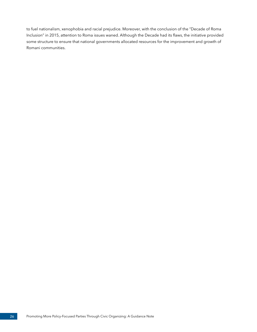to fuel nationalism, xenophobia and racial prejudice. Moreover, with the conclusion of the "Decade of Roma Inclusion" in 2015, attention to Roma issues waned. Although the Decade had its flaws, the initiative provided some structure to ensure that national governments allocated resources for the improvement and growth of Romani communities.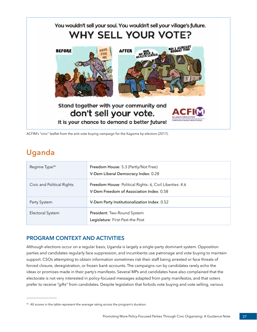<span id="page-30-0"></span>

ACFIM's "civic" leaflet from the anti-vote buying campaign for the Kagoma by-election (2017).

# **Uganda**

| Regime Type <sup>36</sup>  | Freedom House: 5.3 (Partly/Not Free)<br>V-Dem Liberal Democracy Index: 0.28                          |
|----------------------------|------------------------------------------------------------------------------------------------------|
| Civic and Political Rights | Freedom House: Political Rights: 6, Civil Liberties: 4.6<br>V-Dem Freedom of Association Index: 0.58 |
| Party System               | V-Dem Party Institutionalization Index: 0.52                                                         |
| Electoral System           | President: Two-Round System<br>Legislature: First-Past-the-Post                                      |

## **PROGRAM CONTEXT AND ACTIVITIES**

Although elections occur on a regular basis, Uganda is largely a single-party dominant system. Opposition parties and candidates regularly face suppression, and incumbents use patronage and vote buying to maintain support. CSOs attempting to obtain information sometimes risk their staff being arrested or face threats of forced closure, deregistration, or frozen bank accounts. The campaigns run by candidates rarely echo the ideas or promises made in their party's manifesto. Several MPs and candidates have also complained that the electorate is not very interested in policy-focused messages adapted from party manifestos, and that voters prefer to receive "gifts" from candidates. Despite legislation that forbids vote buying and vote selling, various

<sup>&</sup>lt;sup>36</sup> All scores in the table represent the average rating across the program's duration.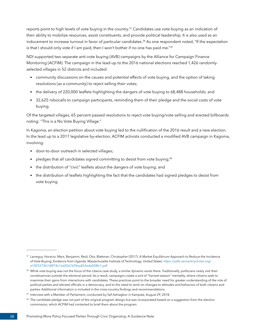reports point to high levels of vote buying in the country.<sup>37</sup> Candidates use vote buying as an indication of their ability to mobilize resources, assist constituents, and provide political leadership. It is also used as an inducement to increase turnout in favor of particular candidates.<sup>38</sup> As one respondent noted, "If the expectation is that I should only vote if I am paid, then I won't bother if no one has paid me."39

NDI supported two separate anti-vote buying (AVB) campaigns by the Alliance for Campaign Finance Monitoring (ACFIM). The campaign in the lead-up to the 2016 national elections reached 1,426 randomlyselected villages in 52 districts and included:

- community discussions on the causes and potential effects of vote buying, and the option of taking resolutions (as a community) to reject selling their votes;
- the delivery of 220,000 leaflets highlighting the dangers of vote buying to 68,488 households; and
- 32,625 robocalls to campaign participants, reminding them of their pledge and the social costs of vote buying.

Of the targeted villages, 65 percent passed resolutions to reject vote buying/vote selling and erected billboards noting: "This is a No Vote Buying Village."

In Kagoma, an election petition about vote buying led to the nullification of the 2016 result and a new election. In the lead up to a 2017 legislative by-election, ACFIM activists conducted a modified AVB campaign in Kagoma, involving:

- door-to-door outreach in selected villages;
- pledges that all candidates signed committing to desist from vote buying;<sup>40</sup>
- the distribution of "civic" leaflets about the dangers of vote buying; and
- the distribution of leaflets highlighting the fact that the candidates had signed pledges to desist from vote buying.

<sup>37</sup> Larreguy, Horacio; Marx, Benjamin; Reid, Otis; Blattman, Christopher (2017). A Market Equilibrium Approach to Reduce the Incidence of Vote-Buying: Evidence from Uganda. Massachusetts Institute of Technology. United States. [https://pdfs.semanticscholar.org/](https://pdfs.semanticscholar.org/e10f/5272b7d8f74c1ed3567695ea453ede028fc1.pdf) [e10f/5272b7d8f74c1ed3567695ea453ede028fc1.pdf](https://pdfs.semanticscholar.org/e10f/5272b7d8f74c1ed3567695ea453ede028fc1.pdf)

<sup>&</sup>lt;sup>38</sup> While vote buying was not the focus of the Liberia case study, a similar dynamic exists there. Traditionally, politicians rarely visit their constituencies outside the electoral period. As a result, campaigns create a sort of "harvest season" mentality, where citizens seek to maximize their gains from interactions with candidates. These practices point to the broader need for greater understanding of the role of political parties and elected officials in a democracy, and to the need to work on changes to attitudes and behaviors of both citizens and parties. Additional information is included in the cross-country findings and recommendations.

<sup>&</sup>lt;sup>39</sup> Interview with a Member of Parliament, conducted by Sef Ashiagbor in Kampala, August 29, 2018.

<sup>&</sup>lt;sup>40</sup> The candidate pledge was not part of the original program design but was incorporated based on a suggestion from the election commission, which ACFIM had contacted to brief them about the program.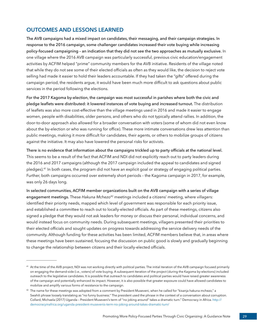## **OUTCOMES AND LESSONS LEARNED**

The AVB campaigns had a mixed impact on candidates, their messaging, and their campaign strategies. In response to the 2016 campaign, some challenger candidates increased their vote buying while increasing policy-focused campaigning – an indication that they did not see the two approaches as mutually exclusive. In one village where the 2016 AVB campaign was particularly successful, previous civic education/engagement activities by ACFIM helped "prime" community members for the AVB initiative. Residents of the village noted that while they do not see some of their elected officials as often as they would like, the decision to reject vote selling had made it easier to hold their leaders accountable. If they had taken the "gifts" offered during the campaign period, the residents argue, it would have been much more difficult to ask questions about public services in the period following the elections.

For the 2017 Kagoma by-election, the campaign was most successful in parishes where both the civic and pledge leaflets were distributed: it lowered instances of vote buying and increased turnout. The distribution of leaflets was also more cost-effective than the village meetings used in 2016 and made it easier to engage women, people with disabilities, older persons, and others who do not typically attend rallies. In addition, the door-to-door approach also allowed for a broader conversation with voters (some of whom did not even know about the by-election or who was running for office). These more intimate conversations drew less attention than public meetings, making it more difficult for candidates, their agents, or others to mobilize groups of citizens against the initiative. It may also have lowered the personal risks for activists.

There is no evidence that information about the campaigns trickled up to party officials at the national level. This seems to be a result of the fact that ACFIM and NDI did not explicitly reach out to party leaders during the 2016 and 2017 campaigns (although the 2017 campaign included the appeal to candidates and signed pledges).41 In both cases, the program did not have an explicit goal or strategy of engaging political parties. Further, both campaigns occurred over extremely short periods – the Kagoma campaign in 2017, for example, was only 26 days long.

In selected communities, ACFIM member organizations built on the AVB campaign with a series of village engagement meetings. These *Hakuna Mchezo<sup>42</sup>* meetings included a citizens' meeting, where villagers: identified their priority needs, mapped which level of government was responsible for each priority issue, and established a committee to reach out to locally-elected officials. As part of these meetings, citizens also signed a pledge that they would not ask leaders for money or discuss their personal, individual concerns, and would instead focus on community needs. During subsequent meetings, villagers presented their priorities to their elected officials and sought updates on progress towards addressing the service delivery needs of the community. Although funding for these activities has been limited, ACFIM members believe that, in areas where these meetings have been sustained, focusing the discussion on public good is slowly and gradually beginning to change the relationship between citizens and their locally-elected officials.

<sup>41</sup> At the time of the AVB project, NDI was not working directly with political parties. The initial iteration of the AVB campaign focused primarily on engaging the demand-side (i.e., voters) of vote buying. A subsequent iteration of the project (during the Kagoma by-elections) included outreach to the legislative candidates. It is possible that outreach to candidates and political parties would have raised greater awareness of the campaign and potentially enhanced its impact. However, it is also possible that greater exposure could have allowed candidates to mobilize and amplify various forms of resistance to the campaign.

 $42$  The name for these meetings was adopted from a comment by President Museveni, when he called for "kisanja hakuna mchezo," a Swahili phrase loosely translating as "no funny business." The president used the phrase in the context of a conversation about corruption. Collard, Michaela (2017) Uganda – President Museveni's term of "no joking around" takes a dramatic turn." Democracy in Africa. [http://](http://democracyinafrica.org/uganda-president-musevenis-term-no-joking-around-takes-dramatic-turn/) [democracyinafrica.org/uganda-president-musevenis-term-no-joking-around-takes-dramatic-turn/](http://democracyinafrica.org/uganda-president-musevenis-term-no-joking-around-takes-dramatic-turn/)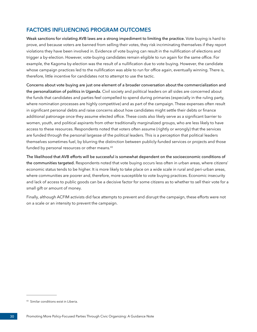## **FACTORS INFLUENCING PROGRAM OUTCOMES**

Weak sanctions for violating AVB laws are a strong impediment to limiting the practice. Vote buying is hard to prove, and because voters are banned from selling their votes, they risk incriminating themselves if they report violations they have been involved in. Evidence of vote buying can result in the nullification of elections and trigger a by-election. However, vote-buying candidates remain eligible to run again for the same office. For example, the Kagoma by-election was the result of a nullification due to vote buying. However, the candidate whose campaign practices led to the nullification was able to run for office again, eventually winning. There is, therefore, little incentive for candidates not to attempt to use the tactic.

Concerns about vote buying are just one element of a broader conversation about the commercialization and the personalization of politics in Uganda. Civil society and political leaders on all sides are concerned about the funds that candidates and parties feel compelled to spend during primaries (especially in the ruling party, where nomination processes are highly competitive) and as part of the campaign. These expenses often result in significant personal debts and raise concerns about how candidates might settle their debts or finance additional patronage once they assume elected office. These costs also likely serve as a significant barrier to women, youth, and political aspirants from other traditionally marginalized groups, who are less likely to have access to these resources. Respondents noted that voters often assume (rightly or wrongly) that the services are funded through the personal largesse of the political leaders. This is a perception that political leaders themselves sometimes fuel, by blurring the distinction between publicly-funded services or projects and those funded by personal resources or other means.<sup>43</sup>

The likelihood that AVB efforts will be successful is somewhat dependent on the socioeconomic conditions of the communities targeted. Respondents noted that vote buying occurs less often in urban areas, where citizens' economic status tends to be higher. It is more likely to take place on a wide scale in rural and peri-urban areas, where communities are poorer and, therefore, more susceptible to vote buying practices. Economic insecurity and lack of access to public goods can be a decisive factor for some citizens as to whether to sell their vote for a small gift or amount of money.

Finally, although ACFIM activists did face attempts to prevent and disrupt the campaign, these efforts were not on a scale or an intensity to prevent the campaign.

<sup>43</sup> Similar conditions exist in Liberia.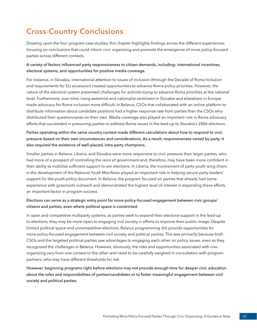# <span id="page-34-0"></span>**Cross-Country Conclusions**

Drawing upon the four program case studies, this chapter highlights findings across the different experiences, focusing on conclusions that could inform civic organizing and promote the emergence of more policy-focused parties across different contexts.

#### A variety of factors influenced party responsiveness to citizen demands, including: international incentives, electoral systems, and opportunities for positive media coverage.

For instance, in Slovakia, international attention to issues of inclusion (through the Decade of Roma Inclusion and requirements for EU accession) created opportunities to advance Roma policy priorities. However, the nature of the electoral system presented challenges for activists trying to advance Roma priorities at the national level. Furthermore, over time, rising extremist and nationalist sentiment in Slovakia and elsewhere in Europe made advocacy for Roma inclusion more difficult. In Belarus, CSOs that collaborated with an online platform to distribute information about candidate positions had a higher response rate from parties than the CSOs who distributed their questionnaires on their own. Media coverage also played an important role in Roma advocacy efforts that succeeded in pressuring parties to address Roma issues in the lead-up to Slovakia's 2006 elections.

Parties operating within the same country context made different calculations about how to respond to civic pressure based on their own circumstances and considerations. As a result, responsiveness varied by party. It also required the existence of well-placed, intra-party champions.

Smaller parties in Belarus, Liberia, and Slovakia were more responsive to civic pressure than larger parties, who had more of a prospect of controlling the reins of government and, therefore, may have been more confident in their ability to mobilize sufficient support to win elections. In Liberia, the involvement of party youth wing chairs in the development of the National Youth Manifesto played an important role in helping secure party leaders' support for the youth policy document. In Belarus, the program focused on parties that already had some experience with grassroots outreach and demonstrated the highest level of interest in expanding these efforts, an important factor in program success.

#### Elections can serve as a strategic entry point for more policy-focused engagement between civic groups/ citizens and parties, even where political space is constricted.

In open and competitive multiparty systems, as parties seek to expand their electoral support in the lead-up to elections, they may be more open to engaging civil society in efforts to improve their public image. Despite limited political space and uncompetitive elections, Belarus programming did provide opportunities for more policy-focused engagement between civil society and political parties. This was primarily because both CSOs and the targeted political parties saw advantages to engaging each other on policy issues, even as they recognized the challenges in Belarus. However, obviously, the risks and opportunities associated with civic organizing vary from one context to the other and need to be carefully weighed in consultation with program partners, who may have different thresholds for risk.

However, beginning programs right before elections may not provide enough time for deeper civic education about the roles and responsibilities of parties/candidates or to foster meaningful engagement between civil society and political parties.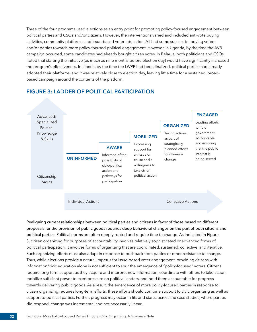<span id="page-35-0"></span>Three of the four programs used elections as an entry point for promoting policy-focused engagement between political parties and CSOs and/or citizens. However, the interventions varied and included anti-vote buying activities, community platforms, and issue-based voter education. All had some success in moving voters and/or parties towards more policy-focused political engagement. However, in Uganda, by the time the AVB campaign occurred, some candidates had already bought citizen votes. In Belarus, both politicians and CSOs noted that starting the initiative (as much as nine months before election day) would have significantly increased the program's effectiveness. In Liberia, by the time the LWPP had been finalized, political parties had already adopted their platforms, and it was relatively close to election day, leaving little time for a sustained, broadbased campaign around the contents of the platform.

#### **FIGURE 3: LADDER OF POLITICAL PARTICIPATION**



Realigning current relationships between political parties and citizens in favor of those based on different proposals for the provision of public goods requires deep behavioral changes on the part of both citizens and political parties. Political norms are often deeply rooted and require time to change. As indicated in Figure 3, citizen organizing for purposes of accountability involves relatively sophisticated or advanced forms of political participation. It involves forms of organizing that are coordinated, sustained, collective, and iterative. Such organizing efforts must also adapt in response to pushback from parties or other resistance to change. Thus, while elections provide a natural impetus for issue-based voter engagement, providing citizens with information/civic education alone is not sufficient to spur the emergence of "policy-focused" voters. Citizens require long-term support as they acquire and interpret new information, coordinate with others to take action, mobilize sufficient power to exert pressure on political leaders, and hold them accountable for progress towards delivering public goods. As a result, the emergence of more policy-focused parties in response to citizen organizing requires long-term efforts; these efforts should combine support to civic organizing as well as support to political parties. Further, progress may occur in fits and starts: across the case studies, where parties did respond, change was incremental and not necessarily linear.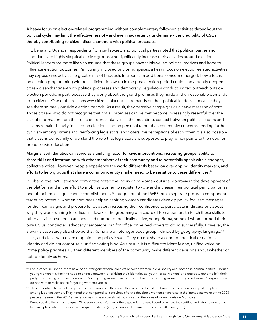A heavy focus on election-related programming without complementary follow-on activities throughout the political cycle may limit the effectiveness of – and even inadvertently undermine – the credibility of CSOs, thereby contributing to citizen disenchantment with political processes.

In Liberia and Uganda, respondents from civil society and political parties noted that political parties and candidates are highly skeptical of civic groups who significantly increase their activities around elections. Political leaders are more likely to assume that these groups have thinly-veiled political motives and hope to influence election outcomes. Particularly in closed or closing spaces, a heavy focus on election-related activities may expose civic activists to greater risk of backlash. In Liberia, an additional concern emerged: how a focus on election programming without sufficient follow-up in the post-election period could inadvertently deepen citizen disenchantment with political processes and democracy. Legislators conduct limited outreach outside election periods, in part, because they worry about the grand promises they made and unreasonable demands from citizens. One of the reasons why citizens place such demands on their political leaders is because they see them so rarely outside election periods. As a result, they perceive campaigns as a harvest season of sorts. Those citizens who do not recognize that not all promises can be met become increasingly resentful over the lack of information from their elected representatives. In the meantime, contact between political leaders and citizens remains heavily focused on elections and on personal rather than community concerns, feeding further cynicism among citizens and reinforcing legislators' and voters' misperceptions of each other. It is also possible that citizens do not fully understand the role that legislators are supposed to play, which points to the need for broader civic education.

Marginalized identities can serve as a unifying factor for civic interventions, increasing groups' ability to share skills and information with other members of their community and to potentially speak with a stronger, collective voice. However, people experience the world differently based on overlapping identity markers, and efforts to help groups that share a common identity marker need to be sensitive to these differences.<sup>44</sup>

In Liberia, the LWPP steering committee noted the inclusion of women outside Monrovia in the development of the platform and in the effort to mobilize women to register to vote and increase their political participation as one of their most significant accomplishments.<sup>45</sup> Integration of the LWPP into a separate program component targeting potential women nominees helped aspiring women candidates develop policy-focused messages for their campaigns and prepare for debates, increasing their confidence to participate in discussions about why they were running for office. In Slovakia, the grooming of a cadre of Roma trainers to teach these skills to other activists resulted in an increased number of politically-active, young Roma, some of whom formed their own CSOs, conducted advocacy campaigns, ran for office, or helped others to do so successfully. However, the Slovakia case study also showed that Roma are a heterogeneous group - divided by geography, language,<sup>46</sup> class, and clan – with diverse opinions on policy issues. They do not share a common political or national identity and do not comprise a unified voting bloc. As a result, it is difficult to identify one, unified voice on Roma policy priorities. Further, different members of the community make different decisions about whether or not to identify as Roma.

<sup>44</sup> For instance, in Liberia, there have been inter-generational conflicts between women in civil society and women in political parties. Liberian young women may feel the need to choose between prioritizing their identities as "youth" or as "women" and decide whether to join their party's youth wing or the women's wing. Some young women have indicated that those leading women's wings and women's organizations do not want to make space for young women's voices.

<sup>45</sup> Through outreach to rural and peri-urban communities, the committee was able to foster a broader sense of ownership of the platform among Liberian women. They noted that compared to a previous effort to develop a women's manifesto in the immediate wake of the 2003 peace agreement, the 2017 experience was more successful at incorporating the views of women outside Monrovia.

<sup>46</sup> Roma speak different languages. While some speak Romani, others speak languages based on where they settled and who governed the land in a place where borders have frequently shifted (e.g., Slovak vs. Hungarian vs. Czech vs. Ukrainian, etc.).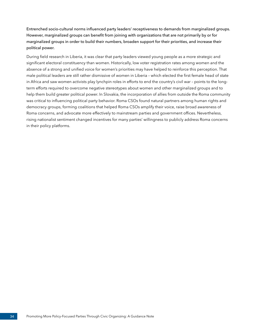Entrenched socio-cultural norms influenced party leaders' receptiveness to demands from marginalized groups. However, marginalized groups can benefit from joining with organizations that are not primarily by or for marginalized groups in order to build their numbers, broaden support for their priorities, and increase their political power.

During field research in Liberia, it was clear that party leaders viewed young people as a more strategic and significant electoral constituency than women. Historically, low voter registration rates among women and the absence of a strong and unified voice for women's priorities may have helped to reinforce this perception. That male political leaders are still rather dismissive of women in Liberia – which elected the first female head of state in Africa and saw women activists play lynchpin roles in efforts to end the country's civil war – points to the longterm efforts required to overcome negative stereotypes about women and other marginalized groups and to help them build greater political power. In Slovakia, the incorporation of allies from outside the Roma community was critical to influencing political party behavior. Roma CSOs found natural partners among human rights and democracy groups, forming coalitions that helped Roma CSOs amplify their voice, raise broad awareness of Roma concerns, and advocate more effectively to mainstream parties and government offices. Nevertheless, rising nationalist sentiment changed incentives for many parties' willingness to publicly address Roma concerns in their policy platforms.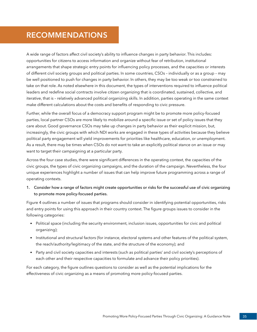## <span id="page-38-0"></span>**RECOMMENDATIONS**

A wide range of factors affect civil society's ability to influence changes in party behavior. This includes: opportunities for citizens to access information and organize without fear of retribution, institutional arrangements that shape strategic entry points for influencing policy processes, and the capacities or interests of different civil society groups and political parties. In some countries, CSOs – individually or as a group – may be well positioned to push for changes in party behavior. In others, they may be too weak or too constrained to take on that role. As noted elsewhere in this document, the types of interventions required to influence political leaders and redefine social contracts involve citizen organizing that is coordinated, sustained, collective, and iterative, that is – relatively advanced political organizing skills. In addition, parties operating in the same context make different calculations about the costs and benefits of responding to civic pressure.

Further, while the overall focus of a democracy support program might be to promote more policy-focused parties, local partner CSOs are more likely to mobilize around a specific issue or set of policy issues that they care about. Good governance CSOs may take up changes in party behavior as their explicit mission, but, increasingly, the civic groups with which NDI works are engaged in these types of activities because they believe political party engagement will yield improvements for priorities like healthcare, education, or unemployment. As a result, there may be times when CSOs do not want to take an explicitly political stance on an issue or may want to target their campaigning at a particular party.

Across the four case studies, there were significant differences in the operating context, the capacities of the civic groups, the types of civic organizing campaigns, and the duration of the campaign. Nevertheless, the four unique experiences highlight a number of issues that can help improve future programming across a range of operating contexts.

1. Consider how a range of factors might create opportunities or risks for the successful use of civic organizing to promote more policy-focused parties.

Figure 4 outlines a number of issues that programs should consider in identifying potential opportunities, risks and entry points for using this approach in their country context. The figure groups issues to consider in the following categories:

- Political space (including the security environment, inclusion issues, opportunities for civic and political organizing);
- Institutional and structural factors (for instance, electoral systems and other features of the political system, the reach/authority/legitimacy of the state, and the structure of the economy); and
- Party and civil society capacities and interests (such as political parties' and civil society's perceptions of each other and their respective capacities to formulate and advance their policy priorities).

For each category, the figure outlines questions to consider as well as the potential implications for the effectiveness of civic organizing as a means of promoting more policy-focused parties.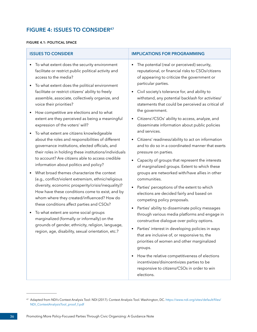## <span id="page-39-0"></span>**FIGURE 4: ISSUES TO CONSIDER47**

#### **FIGURE 4.1: POLITICAL SPACE**

| <b>ISSUES TO CONSIDER</b>                                                                                                                                                                                  | <b>IMPLICATIONS FOR PROGRAMMING</b>                                                                                                                                    |
|------------------------------------------------------------------------------------------------------------------------------------------------------------------------------------------------------------|------------------------------------------------------------------------------------------------------------------------------------------------------------------------|
| To what extent does the security environment<br>facilitate or restrict public political activity and<br>access to the media?<br>To what extent does the political environment<br>$\bullet$                 | The potential (real or perceived) security,<br>reputational, or financial risks to CSOs/citizens<br>of appearing to criticize the government or<br>particular parties. |
| facilitate or restrict citizens' ability to freely                                                                                                                                                         | Civil society's tolerance for, and ability to                                                                                                                          |
| assemble, associate, collectively organize, and                                                                                                                                                            | withstand, any potential backlash for activities/                                                                                                                      |
| voice their priorities?                                                                                                                                                                                    | statements that could be perceived as critical of                                                                                                                      |
| How competitive are elections and to what                                                                                                                                                                  | the government.                                                                                                                                                        |
| extent are they perceived as being a meaningful                                                                                                                                                            | Citizens'/CSOs' ability to access, analyze, and                                                                                                                        |
| expression of the voters' will?                                                                                                                                                                            | disseminate information about public policies                                                                                                                          |
| To what extent are citizens knowledgeable<br>about the roles and responsibilities of different<br>governance institutions, elected officials, and<br>their roles in holding these institutions/individuals | and services.<br>Citizens' readiness/ability to act on information<br>٠<br>and to do so in a coordinated manner that exerts<br>pressure on parties.                    |
| to account? Are citizens able to access credible                                                                                                                                                           | Capacity of groups that represent the interests                                                                                                                        |
| information about politics and policy?                                                                                                                                                                     | of marginalized groups. Extent to which these                                                                                                                          |
| What broad themes characterize the context                                                                                                                                                                 | groups are networked with/have allies in other                                                                                                                         |
| (e.g., conflict/violent extremism, ethnic/religious                                                                                                                                                        | communities.                                                                                                                                                           |
| diversity, economic prosperity/crisis/inequality)?<br>How have these conditions come to exist, and by<br>whom where they created/influenced? How do<br>these conditions affect parties and CSOs?           | Parties' perceptions of the extent to which<br>elections are decided fairly and based on<br>competing policy proposals.                                                |
| To what extent are some social groups                                                                                                                                                                      | Parties' ability to disseminate policy messages                                                                                                                        |
| $\bullet$                                                                                                                                                                                                  | through various media platforms and engage in                                                                                                                          |
| marginalized (formally or informally) on the                                                                                                                                                               | constructive dialogue over policy options.                                                                                                                             |
| grounds of gender, ethnicity, religion, language,                                                                                                                                                          | Parties' interest in developing policies in ways                                                                                                                       |
| region, age, disability, sexual orientation, etc.?                                                                                                                                                         | ٠                                                                                                                                                                      |

that are inclusive of, or responsive to, the priorities of women and other marginalized groups.

• How the relative competitiveness of elections incentivizes/disincentivizes parties to be responsive to citizens/CSOs in order to win elections.

<sup>47</sup> Adapted from NDI's Context Analysis Tool: NDI (2017). Context Analysis Tool. Washington, DC. [https://www.ndi.org/sites/default/files/](https://www.ndi.org/sites/default/files/NDI_ContextAnalysisTool_proof_f.pdf) [NDI\\_ContextAnalysisTool\\_proof\\_f.pdf](https://www.ndi.org/sites/default/files/NDI_ContextAnalysisTool_proof_f.pdf)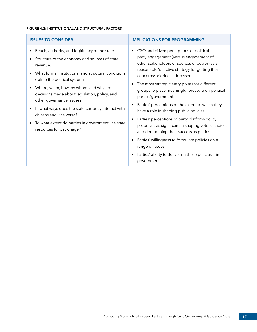#### **FIGURE 4.2: INSTITUTIONAL AND STRUCTURAL FACTORS**

| <b>ISSUES TO CONSIDER</b>                                                                                                                                                                                                                                                                                                                                                                                                                                                                     | <b>IMPLICATIONS FOR PROGRAMMING</b>                                                                                                                                                                                                                                                                                                                                                                                                                                                                                                                                                                                                                                                                                                                  |
|-----------------------------------------------------------------------------------------------------------------------------------------------------------------------------------------------------------------------------------------------------------------------------------------------------------------------------------------------------------------------------------------------------------------------------------------------------------------------------------------------|------------------------------------------------------------------------------------------------------------------------------------------------------------------------------------------------------------------------------------------------------------------------------------------------------------------------------------------------------------------------------------------------------------------------------------------------------------------------------------------------------------------------------------------------------------------------------------------------------------------------------------------------------------------------------------------------------------------------------------------------------|
| Reach, authority, and legitimacy of the state.<br>Structure of the economy and sources of state<br>revenue.<br>What formal institutional and structural conditions<br>define the political system?<br>Where, when, how, by whom, and why are<br>decisions made about legislation, policy, and<br>other governance issues?<br>In what ways does the state currently interact with<br>citizens and vice versa?<br>To what extent do parties in government use state<br>resources for patronage? | CSO and citizen perceptions of political<br>party engagement (versus engagement of<br>other stakeholders or sources of power) as a<br>reasonable/effective strategy for getting their<br>concerns/priorities addressed.<br>The most strategic entry points for different<br>groups to place meaningful pressure on political<br>parties/government.<br>Parties' perceptions of the extent to which they<br>have a role in shaping public policies.<br>Parties' perceptions of party platform/policy<br>proposals as significant in shaping voters' choices<br>and determining their success as parties.<br>Parties' willingness to formulate policies on a<br>range of issues.<br>Parties' ability to deliver on these policies if in<br>government. |
|                                                                                                                                                                                                                                                                                                                                                                                                                                                                                               |                                                                                                                                                                                                                                                                                                                                                                                                                                                                                                                                                                                                                                                                                                                                                      |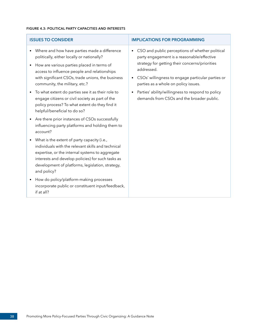#### **FIGURE 4.3: POLITICAL PARTY CAPACITIES AND INTERESTS**

| <b>ISSUES TO CONSIDER</b>                                                                                                                                                                                                                                                                    | <b>IMPLICATIONS FOR PROGRAMMING</b>                                                                                                                                                                                                                                     |
|----------------------------------------------------------------------------------------------------------------------------------------------------------------------------------------------------------------------------------------------------------------------------------------------|-------------------------------------------------------------------------------------------------------------------------------------------------------------------------------------------------------------------------------------------------------------------------|
| Where and how have parties made a difference<br>politically, either locally or nationally?<br>How are various parties placed in terms of<br>$\bullet$<br>access to influence people and relationships<br>with significant CSOs, trade unions, the business<br>community, the military, etc.? | CSO and public perceptions of whether political<br>$\bullet$<br>party engagement is a reasonable/effective<br>strategy for getting their concerns/priorities<br>addressed.<br>CSOs' willingness to engage particular parties or<br>parties as a whole on policy issues. |
| To what extent do parties see it as their role to<br>engage citizens or civil society as part of the<br>policy process? To what extent do they find it<br>helpful/beneficial to do so?                                                                                                       | Parties' ability/willingness to respond to policy<br>$\bullet$<br>demands from CSOs and the broader public.                                                                                                                                                             |
| Are there prior instances of CSOs successfully<br>$\bullet$<br>influencing party platforms and holding them to<br>account?                                                                                                                                                                   |                                                                                                                                                                                                                                                                         |
| What is the extent of party capacity (i.e.,<br>$\bullet$<br>individuals with the relevant skills and technical<br>expertise, or the internal systems to aggregate<br>interests and develop policies) for such tasks as<br>development of platforms, legislation, strategy,<br>and policy?    |                                                                                                                                                                                                                                                                         |
| How do policy/platform-making processes<br>$\bullet$<br>incorporate public or constituent input/feedback,<br>if at all?                                                                                                                                                                      |                                                                                                                                                                                                                                                                         |
|                                                                                                                                                                                                                                                                                              |                                                                                                                                                                                                                                                                         |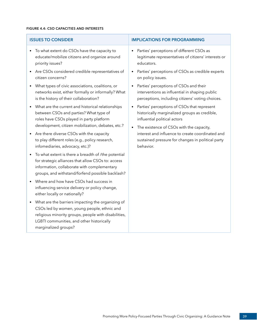#### **FIGURE 4.4: CSO CAPACITIES AND INTERESTS**

| <b>ISSUES TO CONSIDER</b>                                                                                                                                                                                                                  | <b>IMPLICATIONS FOR PROGRAMMING</b>                                                                                                                                      |
|--------------------------------------------------------------------------------------------------------------------------------------------------------------------------------------------------------------------------------------------|--------------------------------------------------------------------------------------------------------------------------------------------------------------------------|
| To what extent do CSOs have the capacity to<br>$\bullet$<br>educate/mobilize citizens and organize around<br>priority issues?                                                                                                              | Parties' perceptions of different CSOs as<br>legitimate representatives of citizens' interests or<br>educators.                                                          |
| Are CSOs considered credible representatives of<br>$\bullet$<br>citizen concerns?                                                                                                                                                          | Parties' perceptions of CSOs as credible experts<br>on policy issues.                                                                                                    |
| What types of civic associations, coalitions, or<br>networks exist, either formally or informally? What<br>is the history of their collaboration?                                                                                          | Parties' perceptions of CSOs and their<br>interventions as influential in shaping public<br>perceptions, including citizens' voting choices.                             |
| What are the current and historical relationships<br>between CSOs and parties? What type of<br>roles have CSOs played in party platform<br>development, citizen mobilization, debates, etc.?                                               | Parties' perceptions of CSOs that represent<br>historically marginalized groups as credible,<br>influential political actors<br>The existence of CSOs with the capacity, |
| Are there diverse CSOs with the capacity<br>to play different roles (e.g., policy research,<br>infomediaries, advocacy, etc.)?                                                                                                             | interest and influence to create coordinated and<br>sustained pressure for changes in political party<br>behavior.                                                       |
| To what extent is there a breadth of /the potential<br>for strategic alliances that allow CSOs to: access<br>information, collaborate with complementary<br>groups, and withstand/forfend possible backlash?                               |                                                                                                                                                                          |
| Where and how have CSOs had success in<br>influencing service delivery or policy change,<br>either locally or nationally?                                                                                                                  |                                                                                                                                                                          |
| What are the barriers impacting the organizing of<br>$\bullet$<br>CSOs led by women, young people, ethnic and<br>religious minority groups, people with disabilities,<br>LGBTI communities, and other historically<br>marginalized groups? |                                                                                                                                                                          |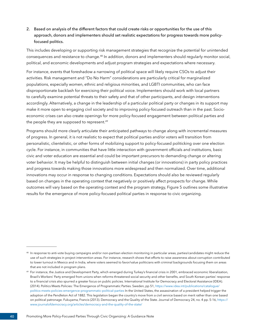2. Based on analysis of the different factors that could create risks or opportunities for the use of this approach, donors and implementers should set realistic expectations for progress towards more policyfocused politics.

This includes developing or supporting risk management strategies that recognize the potential for unintended consequences and resistance to change.48 In addition, donors and implementers should regularly monitor social, political, and economic developments and adjust program strategies and expectations where necessary.

For instance, events that foreshadow a narrowing of political space will likely require CSOs to adjust their activities. Risk management and "Do No Harm" considerations are particularly critical for marginalized populations, especially women, ethnic and religious minorities, and LGBTI communities, who can face disproportionate backlash for exercising their political voice. Implementers should work with local partners to carefully examine potential threats to their safety and that of other participants, and design interventions accordingly. Alternatively, a change in the leadership of a particular political party or changes in its support may make it more open to engaging civil society and to improving policy-focused outreach than in the past. Socioeconomic crises can also create openings for more policy-focused engagement between political parties and the people they are supposed to represent.<sup>49</sup>

Programs should more clearly articulate their anticipated pathways to change along with incremental measures of progress. In general, it is not realistic to expect that political parties and/or voters will transition from personalistic, clientelistic, or other forms of mobilizing support to policy-focused politicking over one election cycle. For instance, in communities that have little interaction with government officials and institutions, basic civic and voter education are essential and could be important precursors to demanding change or altering voter behavior. It may be helpful to distinguish between initial changes (or innovations) in party policy practices and progress towards making those innovations more widespread and then normalized. Over time, additional innovations may occur in response to changing conditions. Expectations should also be reviewed regularly based on changes in the operating context that negatively or positively affect prospects for change. While outcomes will vary based on the operating context and the program strategy, Figure 5 outlines some illustrative results for the emergence of more policy-focused political parties in response to civic organizing.

<sup>48</sup> In response to anti-vote buying campaigns and/or non-partisan election monitoring in particular areas, parties/candidates might reduce the use of such strategies in project intervention areas. For instance, research shows that efforts to raise awareness about corruption contributed to lower turnout in Mexico and in India, where voters seemed to favor/value politicians with criminal backgrounds focusing them on areas that are not included in program plans.

<sup>&</sup>lt;sup>49</sup> For instance, the Justice and Development Party, which emerged during Turkey's financial crisis in 2001, embraced economic liberalization, Brazil's Workers' Party emerged from unions when reforms threatened social security and other benefits, and South Korean parties' response to a financial crisis also spurred a greater focus on public policies. International Institute for Democracy and Electoral Assistance (IDEA). (2014). Politics Meets Policies: The Emergence of Programmatic Parties. Sweden, pp 51, [https://www.idea.int/publications/catalogue/](https://www.idea.int/publications/catalogue/politics-meets-policies-emergence-programmatic-political-parties) [politics-meets-policies-emergence-programmatic-political-parties](https://www.idea.int/publications/catalogue/politics-meets-policies-emergence-programmatic-political-parties) In the United States, the assassination of a president helped trigger the adoption of the Pendleton Act of 1882. This legislation began the country's move from a civil service based on merit rather than one based on political patronage. Fukuyama, Francis (2013). Democracy and the Quality of the State. Journal of Democracy 24, no. 4 pp. 5-16, [https://](https://www.journalofdemocracy.org/articles/democracy-and-the-quality-of-the-state/) [www.journalofdemocracy.org/articles/democracy-and-the-quality-of-the-state/](https://www.journalofdemocracy.org/articles/democracy-and-the-quality-of-the-state/)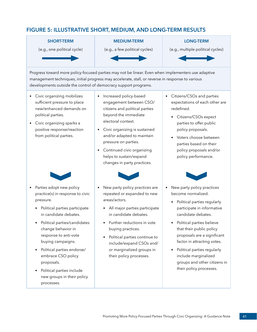## <span id="page-44-0"></span>**FIGURE 5: ILLUSTRATIVE SHORT, MEDIUM, AND LONG-TERM RESULTS**



Progress toward more policy-focused parties may not be linear. Even when implementers use adaptive management techniques, initial progress may accelerate, stall, or reverse in response to various developments outside the control of democracy support programs.

- Civic organizing mobilizes sufficient pressure to place new/enhanced demands on political parties.
- Civic organizing sparks a positive response/reaction from political parties.



- Parties adopt new policy practice(s) in response to civic pressure.
	- Political parties participate in candidate debates.
	- Political parties/candidates change behavior in response to anti-vote buying campaigns.
	- Political parties endorse/ embrace CSO policy proposals.
	- Political parties include new groups in their policy processes.
- Increased policy-based engagement between CSO/ citizens and political parties beyond the immediate electoral context.
- Civic organizing is sustained and/or adapted to maintain pressure on parties.
- Continued civic organizing helps to sustain/expand changes in party practices.



- New party policy practices are repeated or expanded to new areas/actors.
	- All major parties participate in candidate debates.
	- Further reductions in vote buying practices.
	- Political parties continue to include/expand CSOs and/ or marginalized groups in their policy processes.
- Citizens/CSOs and parties expectations of each other are redefined.
	- Citizens/CSOs expect parties to offer public policy proposals.
	- Voters choose between parties based on their policy proposals and/or policy performance.



- New party policy practices become normalized.
	- Political parties regularly participate in informative candidate debates.
	- Political parties believe that their public policy proposals are a significant factor in attracting votes.
	- Political parties regularly include marginalized groups and other citizens in their policy processes.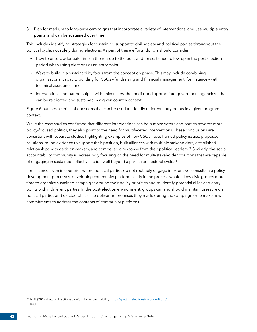#### 3. Plan for medium to long-term campaigns that incorporate a variety of interventions, and use multiple entry points, and can be sustained over time.

This includes identifying strategies for sustaining support to civil society and political parties throughout the political cycle, not solely during elections. As part of these efforts, donors should consider:

- How to ensure adequate time in the run-up to the polls and for sustained follow-up in the post-election period when using elections as an entry point;
- Ways to build in a sustainability focus from the conception phase. This may include combining organizational capacity building for CSOs – fundraising and financial management, for instance – with technical assistance; and
- Interventions and partnerships with universities, the media, and appropriate government agencies that can be replicated and sustained in a given country context.

Figure 6 outlines a series of questions that can be used to identify different entry points in a given program context.

While the case studies confirmed that different interventions can help move voters and parties towards more policy-focused politics, they also point to the need for multifaceted interventions. These conclusions are consistent with separate studies highlighting examples of how CSOs have: framed policy issues, proposed solutions, found evidence to support their position, built alliances with multiple stakeholders, established relationships with decision-makers, and compelled a response from their political leaders.50 Similarly, the social accountability community is increasingly focusing on the need for multi-stakeholder coalitions that are capable of engaging in sustained collective action well beyond a particular electoral cycle.<sup>51</sup>

For instance, even in countries where political parties do not routinely engage in extensive, consultative policy development processes, developing community platforms early in the process would allow civic groups more time to organize sustained campaigns around their policy priorities and to identify potential allies and entry points within different parties. In the post-election environment, groups can and should maintain pressure on political parties and elected officials to deliver on promises they made during the campaign or to make new commitments to address the contents of community platforms.

<sup>50</sup> NDI. (2017) Putting Elections to Work for Accountability. <https://puttingelectionstowork.ndi.org/>

 $51$  Ibid.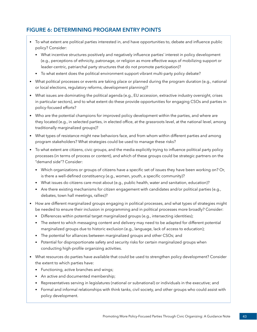## <span id="page-46-0"></span>**FIGURE 6: DETERMINING PROGRAM ENTRY POINTS**

- To what extent are political parties interested in, and have opportunities to, debate and influence public policy? Consider:
	- What incentive structures positively and negatively influence parties' interest in policy development (e.g., perceptions of ethnicity, patronage, or religion as more effective ways of mobilizing support or leader-centric, patriarchal party structures that do not promote participation)?
	- To what extent does the political environment support vibrant multi-party policy debate?
- What political processes or events are taking place or planned during the program duration (e.g., national or local elections, regulatory reforms, development planning)?
- What issues are dominating the political agenda (e.g., EU accession, extractive industry oversight, crises in particular sectors), and to what extent do these provide opportunities for engaging CSOs and parties in policy-focused efforts?
- Who are the potential champions for improved policy development within the parties, and where are they located (e.g., in selected parties, in elected office, at the grassroots level, at the national level, among traditionally marginalized groups)?
- What types of resistance might new behaviors face, and from whom within different parties and among program stakeholders? What strategies could be used to manage these risks?
- To what extent are citizens, civic groups, and the media explicitly trying to influence political party policy processes (in terms of process or content), and which of these groups could be strategic partners on the "demand side"? Consider:
	- Which organizations or groups of citizens have a specific set of issues they have been working on? Or, is there a well-defined constituency (e.g., women, youth, a specific community)?
	- What issues do citizens care most about (e.g., public health, water and sanitation, education)?
	- Are there existing mechanisms for citizen engagement with candidates and/or political parties (e.g., debates, town hall meetings, rallies)?
- How are different marginalized groups engaging in political processes, and what types of strategies might be needed to ensure their inclusion in programming and in political processes more broadly? Consider:
	- Differences within potential target marginalized groups (e.g., intersecting identities);
	- The extent to which messaging content and delivery may need to be adapted for different potential marginalized groups due to historic exclusion (e.g., language, lack of access to education);
	- The potential for alliances between marginalized groups and other CSOs; and
	- Potential for disproportionate safety and security risks for certain marginalized groups when conducting high-profile organizing activities.
- What resources do parties have available that could be used to strengthen policy development? Consider the extent to which parties have:
	- Functioning, active branches and wings;
	- An active and documented membership;
	- Representatives serving in legislatures (national or subnational) or individuals in the executive; and
	- Formal and informal relationships with think tanks, civil society, and other groups who could assist with policy development.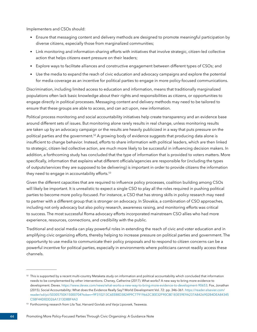Implementers and CSOs should:

- Ensure that messaging content and delivery methods are designed to promote meaningful participation by diverse citizens, especially those from marginalized communities;
- Link monitoring and information-sharing efforts with initiatives that involve strategic, citizen-led collective action that helps citizens exert pressure on their leaders;
- Explore ways to facilitate alliances and constructive engagement between different types of CSOs; and
- Use the media to expand the reach of civic education and advocacy campaigns and explore the potential for media coverage as an incentive for political parties to engage in more policy-focused communications.

Discrimination, including limited access to education and information, means that traditionally marginalized populations often lack basic knowledge about their rights and responsibilities as citizens, or opportunities to engage directly in political processes. Messaging content and delivery methods may need to be tailored to ensure that these groups are able to access, and can act upon, new information.

Political process monitoring and social accountability initiatives help create transparency and an evidence base around different sets of issues. But monitoring alone rarely results in real change, unless monitoring results are taken up by an advocacy campaign or the results are heavily publicized in a way that puts pressure on the political parties and the government.<sup>52</sup> A growing body of evidence suggests that producing data alone is insufficient to change behavior. Instead, efforts to share information with political leaders, which are then linked to strategic, citizen-led collective action, are much more likely to be successful in influencing decision makers. In addition, a forthcoming study has concluded that the type of information that is provided to voters matters. More specifically, information that explains what different officials/agencies are responsible for (including the types of outputs/services they are supposed to be delivering) is important in order to provide citizens the information they need to engage in accountability efforts.<sup>53</sup>

Given the different capacities that are required to influence policy processes, coalition building among CSOs will likely be important. It is unrealistic to expect a single CSO to play all the roles required in pushing political parties to become more policy-focused. For instance, a CSO that has strong skills in policy research may need to partner with a different group that is stronger on advocacy. In Slovakia, a combination of CSO approaches, including not only advocacy but also policy research, awareness raising, and monitoring efforts was critical to success. The most successful Roma advocacy efforts incorporated mainstream CSO allies who had more experience, resources, connections, and credibility with the public.

Traditional and social media can play powerful roles in extending the reach of civic and voter education and in amplifying civic organizing efforts, thereby helping to increase pressure on political parties and government. The opportunity to use media to communicate their policy proposals and to respond to citizen concerns can be a powerful incentive for political parties, especially in environments where politicians cannot readily access these channels.

 $52$  This is supported by a recent multi-country Metaketa study on information and political accountability which concluded that information needs to be complemented by other interventions. Cheney, Catherine (2017). What works? A new way to bring more evidence to development. Devex. <https://www.devex.com/news/what-works-a-new-way-to-bring-more-evidence-to-development-90653>; Fox, Jonathan (2015). Social Accountability: What does the Evidence Really Say? World Development Vol. 72: pp. 346–361. [https://reader.elsevier.com/](https://reader.elsevier.com/reader/sd/pii/S0305750X15000704?token=9F310213C6EE88D382499C77919662C3EE32F90C8E183E59E9A237A8426902B4DEA84345C5BF44D0DD26A1313D8BF4A3) [reader/sd/pii/S0305750X15000704?token=9F310213C6EE88D382499C77919662C3EE32F90C8E183E59E9A237A8426902B4DEA84345](https://reader.elsevier.com/reader/sd/pii/S0305750X15000704?token=9F310213C6EE88D382499C77919662C3EE32F90C8E183E59E9A237A8426902B4DEA84345C5BF44D0DD26A1313D8BF4A3) [C5BF44D0DD26A1313D8BF4A3](https://reader.elsevier.com/reader/sd/pii/S0305750X15000704?token=9F310213C6EE88D382499C77919662C3EE32F90C8E183E59E9A237A8426902B4DEA84345C5BF44D0DD26A1313D8BF4A3)

<sup>53</sup> Forthcoming research from Lila Tsai, Harvard Govlab and Varja Lipovsek, Twaweza.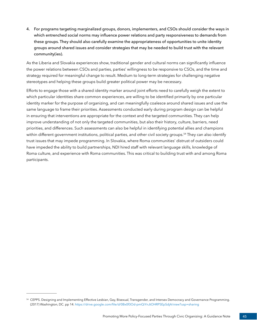4. For programs targeting marginalized groups, donors, implementers, and CSOs should consider the ways in which entrenched social norms may influence power relations and party responsiveness to demands from these groups. They should also carefully examine the appropriateness of opportunities to unite identity groups around shared issues and consider strategies that may be needed to build trust with the relevant community(ies).

As the Liberia and Slovakia experiences show, traditional gender and cultural norms can significantly influence the power relations between CSOs and parties, parties' willingness to be responsive to CSOs, and the time and strategy required for meaningful change to result. Medium to long-term strategies for challenging negative stereotypes and helping these groups build greater political power may be necessary.

Efforts to engage those with a shared identity marker around joint efforts need to carefully weigh the extent to which particular identities share common experiences, are willing to be identified primarily by one particular identity marker for the purpose of organizing, and can meaningfully coalesce around shared issues and use the same language to frame their priorities. Assessments conducted early during program design can be helpful in ensuring that interventions are appropriate for the context and the targeted communities. They can help improve understanding of not only the targeted communities, but also their history, culture, barriers, need priorities, and differences. Such assessments can also be helpful in identifying potential allies and champions within different government institutions, political parties, and other civil society groups.<sup>54</sup> They can also identify trust issues that may impede programming. In Slovakia, where Roma communities' distrust of outsiders could have impeded the ability to build partnerships, NDI hired staff with relevant language skills, knowledge of Roma culture, and experience with Roma communities. This was critical to building trust with and among Roma participants.

<sup>54</sup> CEPPS. Designing and Implementing Effective Lesbian, Gay, Bisexual, Transgender, and Intersex Democracy and Governance Programming. (2017) Washington, DC. pp 14. <https://drive.google.com/file/d/0Bx0f3Od-pmQiYnJtOHRPSEpSdjA/view?usp=sharing>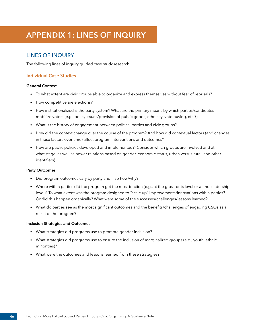# <span id="page-49-0"></span>**APPENDIX 1: LINES OF INQUIRY**

## LINES OF INQUIRY

The following lines of inquiry guided case study research.

#### **Individual Case Studies**

#### **General Context**

- To what extent are civic groups able to organize and express themselves without fear of reprisals?
- How competitive are elections?
- How institutionalized is the party system? What are the primary means by which parties/candidates mobilize voters (e.g., policy issues/provision of public goods, ethnicity, vote buying, etc.?)
- What is the history of engagement between political parties and civic groups?
- How did the context change over the course of the program? And how did contextual factors (and changes in these factors over time) affect program interventions and outcomes?
- How are public policies developed and implemented? (Consider which groups are involved and at what stage, as well as power relations based on gender, economic status, urban versus rural, and other identifiers)

#### **Party Outcomes**

- Did program outcomes vary by party and if so how/why?
- Where within parties did the program get the most traction (e.g., at the grassroots level or at the leadership level)? To what extent was the program designed to "scale up" improvements/innovations within parties? Or did this happen organically? What were some of the successes/challenges/lessons learned?
- What do parties see as the most significant outcomes and the benefits/challenges of engaging CSOs as a result of the program?

#### **Inclusion Strategies and Outcomes**

- What strategies did programs use to promote gender inclusion?
- What strategies did programs use to ensure the inclusion of marginalized groups (e.g., youth, ethnic minorities)?
- What were the outcomes and lessons learned from these strategies?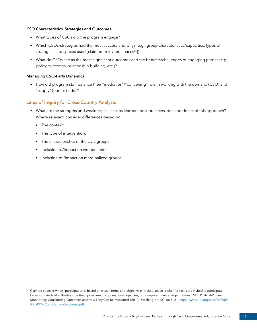#### **CSO Characteristics, Strategies and Outcomes**

- What types of CSOs did the program engage?
- Which CSOs/strategies had the most success and why? (e.g., group characteristics/capacities, types of strategies, and spaces used [claimed or invited spaces<sup>55</sup>])
- What do CSOs see as the most significant outcomes and the benefits/challenges of engaging parties (e.g., policy outcomes, relationship building, etc.)?

#### **Managing CSO-Party Dynamics**

• How did program staff balance their "mediation"/"convening" role in working with the demand (CSO) and "supply" (parties) sides?

#### **Lines of Inquiry for Cross-Country Analysis**

- What are the strengths and weaknesses, lessons learned, best practices, dos and don'ts of this approach? Where relevant, consider differences based on:
	- The context;
	- The type of intervention;
	- The characteristics of the civic group;
	- Inclusion of/impact on women; and
	- Inclusion of /impact on marginalized groups.

<sup>&</sup>lt;sup>55</sup> Claimed space is when "participation is based on citizen terms and objectives;" invited space is when "citizens are invited to participate by various kinds of authorities, be they government, supranational agencies, or non-governmental organizations." NDI. Political-Process Monitoring: Considering Outcomes and How They Can be Measured. (2012). Washington, DC. pp 5; 21. [https://www.ndi.org/sites/default/](https://www.ndi.org/sites/default/files/PPM-Considering-Outcomes.pdf) [files/PPM-Considering-Outcomes.pdf](https://www.ndi.org/sites/default/files/PPM-Considering-Outcomes.pdf)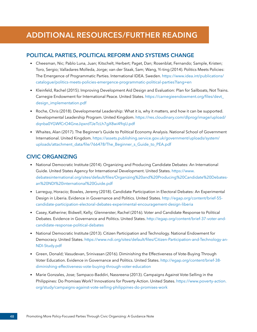# <span id="page-51-0"></span>**ADDITIONAL RESOURCES/FURTHER READING**

#### **POLITICAL PARTIES, POLITICAL REFORM AND SYSTEMS CHANGE**

- Cheesman, Nic; Pablo Luna, Juan; Kitschelt, Herbert; Paget, Dan; Rosenblat, Fernando; Sample, Kristen; Toro, Sergio; Valladares Molleda, Jorge; van der Staak, Sam; Wang, Yi-ting (2014). Politics Meets Policies: The Emergence of Programmatic Parties. International IDEA. Sweden. [https://www.idea.int/publications/](https://www.idea.int/publications/catalogue/politics-meets-policies-emergence-programmatic-political-parties?lang=en) [catalogue/politics-meets-policies-emergence-programmatic-political-parties?lang=en](https://www.idea.int/publications/catalogue/politics-meets-policies-emergence-programmatic-political-parties?lang=en)
- Kleinfeld, Rachel (2015). Improving Development Aid Design and Evaluation: Plan for Sailboats, Not Trains. Carnegie Endowment for International Peace. United States. [https://carnegieendowment.org/files/devt\\_](https://carnegieendowment.org/files/devt_design_implementation.pdf) [design\\_implementation.pdf](https://carnegieendowment.org/files/devt_design_implementation.pdf)
- Roche, Chris (2018). Developmental Leadership: What it is, why it matters, and how it can be supported. Developmental Leadership Program. United Kingdom. [https://res.cloudinary.com/dlprog/image/upload/](https://res.cloudinary.com/dlprog/image/upload/dqnba0YGWfCrO4GneJipxrdTJeTcLh7gX8wi49qU.pdf) [dqnba0YGWfCrO4GneJipxrdTJeTcLh7gX8wi49qU.pdf](https://res.cloudinary.com/dlprog/image/upload/dqnba0YGWfCrO4GneJipxrdTJeTcLh7gX8wi49qU.pdf)
- Whaites, Alan (2017). The Beginner's Guide to Political Economy Analysis. National School of Government International. United Kingdom. [https://assets.publishing.service.gov.uk/government/uploads/system/](https://assets.publishing.service.gov.uk/government/uploads/system/uploads/attachment_data/file/766478/The_Beginner_s_Guide_to_PEA.pdf) [uploads/attachment\\_data/file/766478/The\\_Beginner\\_s\\_Guide\\_to\\_PEA.pdf](https://assets.publishing.service.gov.uk/government/uploads/system/uploads/attachment_data/file/766478/The_Beginner_s_Guide_to_PEA.pdf)

#### **CIVIC ORGANIZING**

- National Democratic Institute (2014). Organizing and Producing Candidate Debates: An International Guide. United States Agency for International Development. United States. [https://www.](https://www.debatesinternational.org/sites/default/files/Organizing%20and%20Producing%20Candidate%20Debates-an%20NDI%20international%20Guide.pdf) [debatesinternational.org/sites/default/files/Organizing%20and%20Producing%20Candidate%20Debates](https://www.debatesinternational.org/sites/default/files/Organizing%20and%20Producing%20Candidate%20Debates-an%20NDI%20international%20Guide.pdf)[an%20NDI%20international%20Guide.pdf](https://www.debatesinternational.org/sites/default/files/Organizing%20and%20Producing%20Candidate%20Debates-an%20NDI%20international%20Guide.pdf)
- Larreguy, Horacio; Bowles, Jeremy (2018). Candidate Participation in Electoral Debates: An Experimental Design in Liberia. Evidence in Governance and Politics. United States. [http://egap.org/content/brief-55](http://egap.org/content/brief-55-candidate-participation-electoral-debates-experimental-encouragement-design-liberia) [candidate-participation-electoral-debates-experimental-encouragement-design-liberia](http://egap.org/content/brief-55-candidate-participation-electoral-debates-experimental-encouragement-design-liberia)
- Casey, Katherine; Bidwell, Kelly; Glennerster, Rachel (2016). Voter and Candidate Response to Political Debates. Evidence in Governance and Politics. United States. [http://egap.org/content/brief-37-voter-and](http://egap.org/content/brief-37-voter-and-candidate-response-political-debates)[candidate-response-political-debates](http://egap.org/content/brief-37-voter-and-candidate-response-political-debates)
- National Democratic Institute (2013). Citizen Participation and Technology. National Endowment for Democracy. United States. [https://www.ndi.org/sites/default/files/Citizen-Participation-and-Technology-an-](https://www.ndi.org/sites/default/files/Citizen-Participation-and-Technology-an-NDI-Study.pdf)[NDI-Study.pdf](https://www.ndi.org/sites/default/files/Citizen-Participation-and-Technology-an-NDI-Study.pdf)
- Green, Donald; Vasudevan, Srinivasan (2016). Diminishing the Effectiveness of Vote-Buying Through Voter Education. Evidence in Governance and Politics. United States. [http://egap.org/content/brief-38](http://egap.org/content/brief-38-diminishing-effectiveness-vote-buying-through-voter-education) [diminishing-effectiveness-vote-buying-through-voter-education](http://egap.org/content/brief-38-diminishing-effectiveness-vote-buying-through-voter-education)
- Marie Gonzales, Jose; Sampaco-Baddiri, Nassreena (2013). Campaigns Against Vote-Selling in the Philippines: Do Promises Work? Innovations for Poverty Action. United States. [https://www.poverty-action.](https://www.poverty-action.org/study/campaigns-against-vote-selling-philippines-do-promises-work) [org/study/campaigns-against-vote-selling-philippines-do-promises-work](https://www.poverty-action.org/study/campaigns-against-vote-selling-philippines-do-promises-work)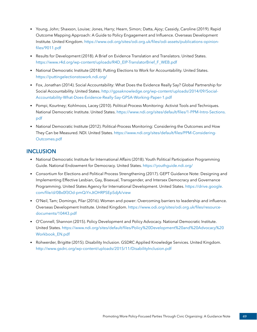- Young, John; Shaxson, Louise; Jones, Harry; Hearn, Simon; Datta, Ajoy; Cassidy, Caroline (2019). Rapid Outcome Mapping Approach: A Guide to Policy Engagement and Influence. Overseas Development Institute. United Kingdom. [https://www.odi.org/sites/odi.org.uk/files/odi-assets/publications-opinion](https://www.odi.org/sites/odi.org.uk/files/odi-assets/publications-opinion-files/9011.pdf)[files/9011.pdf](https://www.odi.org/sites/odi.org.uk/files/odi-assets/publications-opinion-files/9011.pdf)
- Results for Development (2018). A Brief on Evidence Translation and Translators. United States. [https://www.r4d.org/wp-content/uploads/R4D\\_EIP-TranslatorBrief\\_F\\_WEB.pdf](https://www.r4d.org/wp-content/uploads/R4D_EIP-TranslatorBrief_F_WEB.pdf)
- National Democratic Institute (2018). Putting Elections to Work for Accountability. United States. <https://puttingelectionstowork.ndi.org/>
- Fox, Jonathan (2014). Social Accountability: What Does the Evidence Really Say? Global Partnership for Social Accountability. United States. [http://gpsaknowledge.org/wp-content/uploads/2014/09/Social-](http://gpsaknowledge.org/wp-content/uploads/2014/09/Social-Accountability-What-Does-Evidence-Really-Say-GPSA-Working-Paper-1.pdf)[Accountability-What-Does-Evidence-Really-Say-GPSA-Working-Paper-1.pdf](http://gpsaknowledge.org/wp-content/uploads/2014/09/Social-Accountability-What-Does-Evidence-Really-Say-GPSA-Working-Paper-1.pdf)
- Pompi, Kourtney; Kohlmoos, Lacey (2010). Political-Process Monitoring: Activist Tools and Techniques. National Democratic Institute. United States. [https://www.ndi.org/sites/default/files/1-PPM-Intro-Sections.](https://www.ndi.org/sites/default/files/1-PPM-Intro-Sections.pdf) [pdf](https://www.ndi.org/sites/default/files/1-PPM-Intro-Sections.pdf)
- National Democratic Institute (2012). Political-Process Monitoring: Considering the Outcomes and How They Can be Measured. NDI. United States. [https://www.ndi.org/sites/default/files/PPM-Considering-](https://www.ndi.org/sites/default/files/PPM-Considering-Outcomes.pdf)[Outcomes.pdf](https://www.ndi.org/sites/default/files/PPM-Considering-Outcomes.pdf)

### **INCLUSION**

- National Democratic Institute for International Affairs (2018). Youth Political Participation Programming Guide. National Endowment for Democracy. United States. <https://youthguide.ndi.org/>
- Consortium for Elections and Political Process Strengthening (2017). GEPT Guidance Note: Designing and Implementing Effective Lesbian, Gay, Bisexual, Transgender, and Intersex Democracy and Governance Programming. United States Agency for International Development. United States. [https://drive.google.](https://drive.google.com/file/d/0Bx0f3Od-pmQiYnJtOHRPSEpSdjA/view) [com/file/d/0Bx0f3Od-pmQiYnJtOHRPSEpSdjA/view](https://drive.google.com/file/d/0Bx0f3Od-pmQiYnJtOHRPSEpSdjA/view)
- O'Neil, Tam; Domingo, Pilar (2016). Women and power: Overcoming barriers to leadership and influence. Overseas Development Institute. United Kingdom. [https://www.odi.org/sites/odi.org.uk/files/resource](https://www.odi.org/sites/odi.org.uk/files/resource-documents/10443.pdf)[documents/10443.pdf](https://www.odi.org/sites/odi.org.uk/files/resource-documents/10443.pdf)
- O'Connell, Shannon (2015). Policy Development and Policy Advocacy. National Democratic Institute. United States. [https://www.ndi.org/sites/default/files/Policy%20Development%20and%20Advocacy%20](https://www.ndi.org/sites/default/files/Policy%20Development%20and%20Advocacy%20Workbook_EN.pdf) [Workbook\\_EN.pdf](https://www.ndi.org/sites/default/files/Policy%20Development%20and%20Advocacy%20Workbook_EN.pdf)
- Rohwerder, Brigitte (2015). Disability Inclusion. GSDRC Applied Knowledge Services. United Kingdom. <http://www.gsdrc.org/wp-content/uploads/2015/11/DisabilityInclusion.pdf>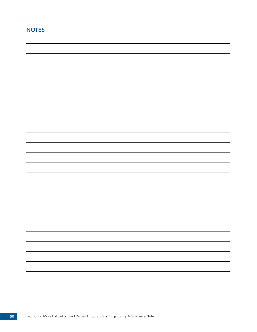## **NOTES**

| - |
|---|
|   |
|   |
|   |
|   |
|   |
|   |
|   |
|   |
|   |
|   |
|   |
|   |
|   |
|   |